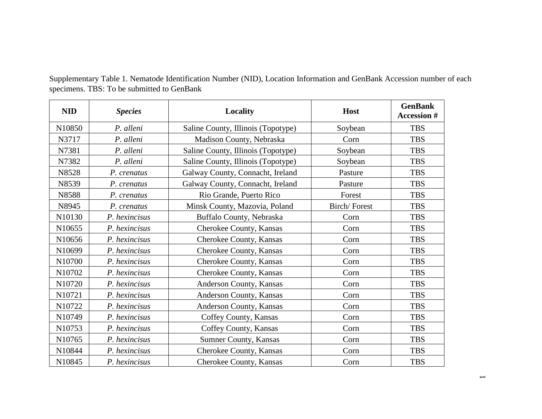| <b>NID</b>         | <b>Species</b> | Locality                           | Host         | <b>GenBank</b><br><b>Accession #</b> |
|--------------------|----------------|------------------------------------|--------------|--------------------------------------|
| N10850             | P. alleni      | Saline County, Illinois (Topotype) | Soybean      | <b>TBS</b>                           |
| N3717              | P. alleni      | Madison County, Nebraska           | Corn         | <b>TBS</b>                           |
| N7381              | P. alleni      | Saline County, Illinois (Topotype) | Soybean      | <b>TBS</b>                           |
| N7382              | P. alleni      | Saline County, Illinois (Topotype) | Soybean      | <b>TBS</b>                           |
| N8528              | P. crenatus    | Galway County, Connacht, Ireland   | Pasture      | <b>TBS</b>                           |
| N8539              | P. crenatus    | Galway County, Connacht, Ireland   | Pasture      | <b>TBS</b>                           |
| N8588              | P. crenatus    | Rio Grande, Puerto Rico            | Forest       | <b>TBS</b>                           |
| N8945              | P. crenatus    | Minsk County, Mazovia, Poland      | Birch/Forest | <b>TBS</b>                           |
| N10130             | P. hexincisus  | Buffalo County, Nebraska           | Corn         | <b>TBS</b>                           |
| N10655             | P. hexincisus  | Cherokee County, Kansas            | Corn         | <b>TBS</b>                           |
| N10656             | P. hexincisus  | Cherokee County, Kansas            | Corn         | <b>TBS</b>                           |
| N10699             | P. hexincisus  | Cherokee County, Kansas            | Corn         | <b>TBS</b>                           |
| N <sub>10700</sub> | P. hexincisus  | Cherokee County, Kansas            | Corn         | <b>TBS</b>                           |
| N10702             | P. hexincisus  | Cherokee County, Kansas            | Corn         | <b>TBS</b>                           |
| N10720             | P. hexincisus  | Anderson County, Kansas            | Corn         | <b>TBS</b>                           |
| N10721             | P. hexincisus  | Anderson County, Kansas            | Corn         | <b>TBS</b>                           |
| N10722             | P. hexincisus  | Anderson County, Kansas            | Corn         | <b>TBS</b>                           |
| N10749             | P. hexincisus  | Coffey County, Kansas              | Corn         | <b>TBS</b>                           |
| N10753             | P. hexincisus  | Coffey County, Kansas              | Corn         | <b>TBS</b>                           |
| N10765             | P. hexincisus  | Sumner County, Kansas              | Corn         | <b>TBS</b>                           |
| N10844             | P. hexincisus  | Cherokee County, Kansas            | Corn         | <b>TBS</b>                           |
| N10845             | P. hexincisus  | Cherokee County, Kansas            | Corn         | <b>TBS</b>                           |

Supplementary Table 1. Nematode Identification Number (NID), Location Information and GenBank Accession number of each specimens. TBS: To be submitted to GenBank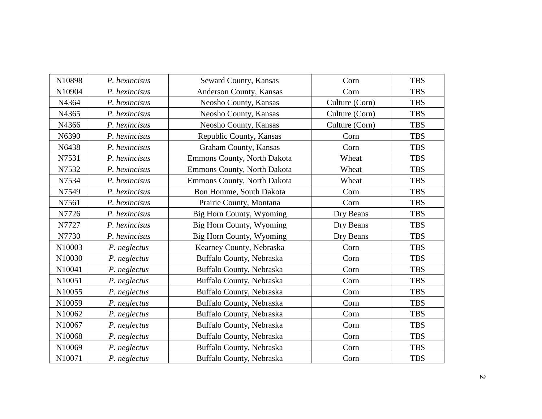| N10898 | P. hexincisus | Seward County, Kansas       | Corn           | <b>TBS</b> |
|--------|---------------|-----------------------------|----------------|------------|
| N10904 | P. hexincisus | Anderson County, Kansas     | Corn           | <b>TBS</b> |
| N4364  | P. hexincisus | Neosho County, Kansas       | Culture (Corn) | <b>TBS</b> |
| N4365  | P. hexincisus | Neosho County, Kansas       | Culture (Corn) | <b>TBS</b> |
| N4366  | P. hexincisus | Neosho County, Kansas       | Culture (Corn) | <b>TBS</b> |
| N6390  | P. hexincisus | Republic County, Kansas     | Corn           | <b>TBS</b> |
| N6438  | P. hexincisus | Graham County, Kansas       | Corn           | <b>TBS</b> |
| N7531  | P. hexincisus | Emmons County, North Dakota | Wheat          | <b>TBS</b> |
| N7532  | P. hexincisus | Emmons County, North Dakota | Wheat          | <b>TBS</b> |
| N7534  | P. hexincisus | Emmons County, North Dakota | Wheat          | <b>TBS</b> |
| N7549  | P. hexincisus | Bon Homme, South Dakota     | Corn           | <b>TBS</b> |
| N7561  | P. hexincisus | Prairie County, Montana     | Corn           | <b>TBS</b> |
| N7726  | P. hexincisus | Big Horn County, Wyoming    | Dry Beans      | <b>TBS</b> |
| N7727  | P. hexincisus | Big Horn County, Wyoming    | Dry Beans      | <b>TBS</b> |
| N7730  | P. hexincisus | Big Horn County, Wyoming    | Dry Beans      | <b>TBS</b> |
| N10003 | P. neglectus  | Kearney County, Nebraska    | Corn           | <b>TBS</b> |
| N10030 | P. neglectus  | Buffalo County, Nebraska    | Corn           | <b>TBS</b> |
| N10041 | P. neglectus  | Buffalo County, Nebraska    | Corn           | <b>TBS</b> |
| N10051 | P. neglectus  | Buffalo County, Nebraska    | Corn           | <b>TBS</b> |
| N10055 | P. neglectus  | Buffalo County, Nebraska    | Corn           | <b>TBS</b> |
| N10059 | P. neglectus  | Buffalo County, Nebraska    | Corn           | <b>TBS</b> |
| N10062 | P. neglectus  | Buffalo County, Nebraska    | Corn           | <b>TBS</b> |
| N10067 | P. neglectus  | Buffalo County, Nebraska    | Corn           | <b>TBS</b> |
| N10068 | P. neglectus  | Buffalo County, Nebraska    | Corn           | <b>TBS</b> |
| N10069 | P. neglectus  | Buffalo County, Nebraska    | Corn           | <b>TBS</b> |
| N10071 | P. neglectus  | Buffalo County, Nebraska    | Corn           | <b>TBS</b> |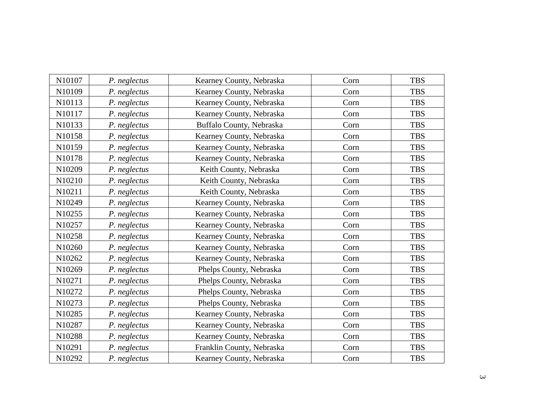| N10107 | P. neglectus | Kearney County, Nebraska  | Corn | <b>TBS</b> |
|--------|--------------|---------------------------|------|------------|
| N10109 | P. neglectus | Kearney County, Nebraska  | Corn | <b>TBS</b> |
| N10113 | P. neglectus | Kearney County, Nebraska  | Corn | <b>TBS</b> |
| N10117 | P. neglectus | Kearney County, Nebraska  | Corn | <b>TBS</b> |
| N10133 | P. neglectus | Buffalo County, Nebraska  | Corn | <b>TBS</b> |
| N10158 | P. neglectus | Kearney County, Nebraska  | Corn | <b>TBS</b> |
| N10159 | P. neglectus | Kearney County, Nebraska  | Corn | <b>TBS</b> |
| N10178 | P. neglectus | Kearney County, Nebraska  | Corn | <b>TBS</b> |
| N10209 | P. neglectus | Keith County, Nebraska    | Corn | <b>TBS</b> |
| N10210 | P. neglectus | Keith County, Nebraska    | Corn | <b>TBS</b> |
| N10211 | P. neglectus | Keith County, Nebraska    | Corn | <b>TBS</b> |
| N10249 | P. neglectus | Kearney County, Nebraska  | Corn | <b>TBS</b> |
| N10255 | P. neglectus | Kearney County, Nebraska  | Corn | <b>TBS</b> |
| N10257 | P. neglectus | Kearney County, Nebraska  | Corn | <b>TBS</b> |
| N10258 | P. neglectus | Kearney County, Nebraska  | Corn | <b>TBS</b> |
| N10260 | P. neglectus | Kearney County, Nebraska  | Corn | <b>TBS</b> |
| N10262 | P. neglectus | Kearney County, Nebraska  | Corn | <b>TBS</b> |
| N10269 | P. neglectus | Phelps County, Nebraska   | Corn | <b>TBS</b> |
| N10271 | P. neglectus | Phelps County, Nebraska   | Corn | <b>TBS</b> |
| N10272 | P. neglectus | Phelps County, Nebraska   | Corn | <b>TBS</b> |
| N10273 | P. neglectus | Phelps County, Nebraska   | Corn | <b>TBS</b> |
| N10285 | P. neglectus | Kearney County, Nebraska  | Corn | <b>TBS</b> |
| N10287 | P. neglectus | Kearney County, Nebraska  | Corn | <b>TBS</b> |
| N10288 | P. neglectus | Kearney County, Nebraska  | Corn | <b>TBS</b> |
| N10291 | P. neglectus | Franklin County, Nebraska | Corn | <b>TBS</b> |
| N10292 | P. neglectus | Kearney County, Nebraska  | Corn | <b>TBS</b> |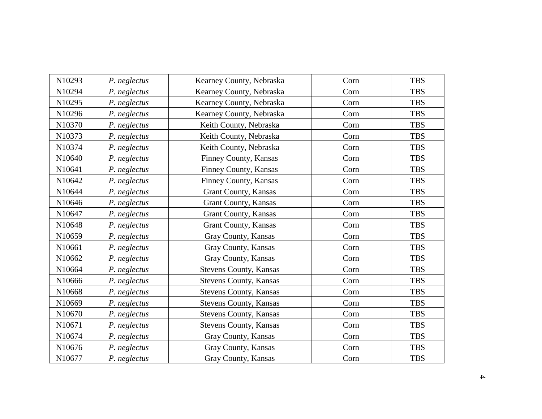| N10293 | P. neglectus | Kearney County, Nebraska      | Corn | <b>TBS</b> |
|--------|--------------|-------------------------------|------|------------|
| N10294 | P. neglectus | Kearney County, Nebraska      | Corn | <b>TBS</b> |
| N10295 | P. neglectus | Kearney County, Nebraska      | Corn | <b>TBS</b> |
| N10296 | P. neglectus | Kearney County, Nebraska      | Corn | <b>TBS</b> |
| N10370 | P. neglectus | Keith County, Nebraska        | Corn | <b>TBS</b> |
| N10373 | P. neglectus | Keith County, Nebraska        | Corn | <b>TBS</b> |
| N10374 | P. neglectus | Keith County, Nebraska        | Corn | <b>TBS</b> |
| N10640 | P. neglectus | Finney County, Kansas         | Corn | <b>TBS</b> |
| N10641 | P. neglectus | Finney County, Kansas         | Corn | <b>TBS</b> |
| N10642 | P. neglectus | Finney County, Kansas         | Corn | <b>TBS</b> |
| N10644 | P. neglectus | Grant County, Kansas          | Corn | <b>TBS</b> |
| N10646 | P. neglectus | Grant County, Kansas          | Corn | <b>TBS</b> |
| N10647 | P. neglectus | Grant County, Kansas          | Corn | <b>TBS</b> |
| N10648 | P. neglectus | Grant County, Kansas          | Corn | <b>TBS</b> |
| N10659 | P. neglectus | Gray County, Kansas           | Corn | <b>TBS</b> |
| N10661 | P. neglectus | Gray County, Kansas           | Corn | <b>TBS</b> |
| N10662 | P. neglectus | Gray County, Kansas           | Corn | <b>TBS</b> |
| N10664 | P. neglectus | <b>Stevens County, Kansas</b> | Corn | <b>TBS</b> |
| N10666 | P. neglectus | <b>Stevens County, Kansas</b> | Corn | <b>TBS</b> |
| N10668 | P. neglectus | <b>Stevens County, Kansas</b> | Corn | <b>TBS</b> |
| N10669 | P. neglectus | <b>Stevens County, Kansas</b> | Corn | <b>TBS</b> |
| N10670 | P. neglectus | <b>Stevens County, Kansas</b> | Corn | <b>TBS</b> |
| N10671 | P. neglectus | Stevens County, Kansas        | Corn | <b>TBS</b> |
| N10674 | P. neglectus | Gray County, Kansas           | Corn | <b>TBS</b> |
| N10676 | P. neglectus | Gray County, Kansas           | Corn | <b>TBS</b> |
| N10677 | P. neglectus | Gray County, Kansas           | Corn | <b>TBS</b> |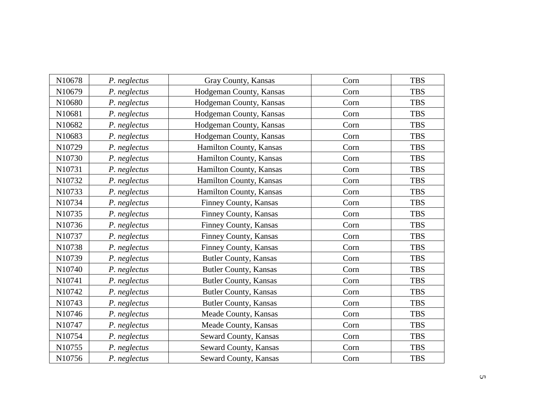| N10678 | P. neglectus | Gray County, Kansas          | Corn | <b>TBS</b> |
|--------|--------------|------------------------------|------|------------|
| N10679 | P. neglectus | Hodgeman County, Kansas      | Corn | <b>TBS</b> |
| N10680 | P. neglectus | Hodgeman County, Kansas      | Corn | <b>TBS</b> |
| N10681 | P. neglectus | Hodgeman County, Kansas      | Corn | <b>TBS</b> |
| N10682 | P. neglectus | Hodgeman County, Kansas      | Corn | <b>TBS</b> |
| N10683 | P. neglectus | Hodgeman County, Kansas      | Corn | <b>TBS</b> |
| N10729 | P. neglectus | Hamilton County, Kansas      | Corn | <b>TBS</b> |
| N10730 | P. neglectus | Hamilton County, Kansas      | Corn | <b>TBS</b> |
| N10731 | P. neglectus | Hamilton County, Kansas      | Corn | <b>TBS</b> |
| N10732 | P. neglectus | Hamilton County, Kansas      | Corn | <b>TBS</b> |
| N10733 | P. neglectus | Hamilton County, Kansas      | Corn | <b>TBS</b> |
| N10734 | P. neglectus | Finney County, Kansas        | Corn | <b>TBS</b> |
| N10735 | P. neglectus | Finney County, Kansas        | Corn | <b>TBS</b> |
| N10736 | P. neglectus | Finney County, Kansas        | Corn | <b>TBS</b> |
| N10737 | P. neglectus | Finney County, Kansas        | Corn | <b>TBS</b> |
| N10738 | P. neglectus | Finney County, Kansas        | Corn | <b>TBS</b> |
| N10739 | P. neglectus | <b>Butler County, Kansas</b> | Corn | <b>TBS</b> |
| N10740 | P. neglectus | <b>Butler County, Kansas</b> | Corn | <b>TBS</b> |
| N10741 | P. neglectus | <b>Butler County, Kansas</b> | Corn | <b>TBS</b> |
| N10742 | P. neglectus | <b>Butler County, Kansas</b> | Corn | <b>TBS</b> |
| N10743 | P. neglectus | <b>Butler County, Kansas</b> | Corn | <b>TBS</b> |
| N10746 | P. neglectus | Meade County, Kansas         | Corn | <b>TBS</b> |
| N10747 | P. neglectus | Meade County, Kansas         | Corn | <b>TBS</b> |
| N10754 | P. neglectus | Seward County, Kansas        | Corn | <b>TBS</b> |
| N10755 | P. neglectus | Seward County, Kansas        | Corn | <b>TBS</b> |
| N10756 | P. neglectus | Seward County, Kansas        | Corn | <b>TBS</b> |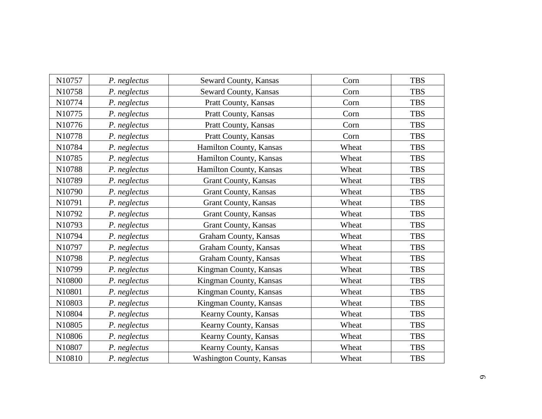| N10757 | P. neglectus | Seward County, Kansas            | Corn  | <b>TBS</b> |
|--------|--------------|----------------------------------|-------|------------|
| N10758 | P. neglectus | Seward County, Kansas            | Corn  | <b>TBS</b> |
| N10774 | P. neglectus | Pratt County, Kansas             | Corn  | <b>TBS</b> |
| N10775 | P. neglectus | Pratt County, Kansas             | Corn  | <b>TBS</b> |
| N10776 | P. neglectus | Pratt County, Kansas             | Corn  | <b>TBS</b> |
| N10778 | P. neglectus | Pratt County, Kansas             | Corn  | <b>TBS</b> |
| N10784 | P. neglectus | Hamilton County, Kansas          | Wheat | <b>TBS</b> |
| N10785 | P. neglectus | Hamilton County, Kansas          | Wheat | <b>TBS</b> |
| N10788 | P. neglectus | Hamilton County, Kansas          | Wheat | <b>TBS</b> |
| N10789 | P. neglectus | <b>Grant County, Kansas</b>      | Wheat | <b>TBS</b> |
| N10790 | P. neglectus | Grant County, Kansas             | Wheat | <b>TBS</b> |
| N10791 | P. neglectus | Grant County, Kansas             | Wheat | <b>TBS</b> |
| N10792 | P. neglectus | Grant County, Kansas             | Wheat | <b>TBS</b> |
| N10793 | P. neglectus | <b>Grant County, Kansas</b>      | Wheat | <b>TBS</b> |
| N10794 | P. neglectus | Graham County, Kansas            | Wheat | <b>TBS</b> |
| N10797 | P. neglectus | Graham County, Kansas            | Wheat | <b>TBS</b> |
| N10798 | P. neglectus | Graham County, Kansas            | Wheat | <b>TBS</b> |
| N10799 | P. neglectus | Kingman County, Kansas           | Wheat | <b>TBS</b> |
| N10800 | P. neglectus | Kingman County, Kansas           | Wheat | <b>TBS</b> |
| N10801 | P. neglectus | Kingman County, Kansas           | Wheat | <b>TBS</b> |
| N10803 | P. neglectus | Kingman County, Kansas           | Wheat | <b>TBS</b> |
| N10804 | P. neglectus | Kearny County, Kansas            | Wheat | <b>TBS</b> |
| N10805 | P. neglectus | Kearny County, Kansas            | Wheat | <b>TBS</b> |
| N10806 | P. neglectus | Kearny County, Kansas            | Wheat | <b>TBS</b> |
| N10807 | P. neglectus | Kearny County, Kansas            | Wheat | <b>TBS</b> |
| N10810 | P. neglectus | <b>Washington County, Kansas</b> | Wheat | <b>TBS</b> |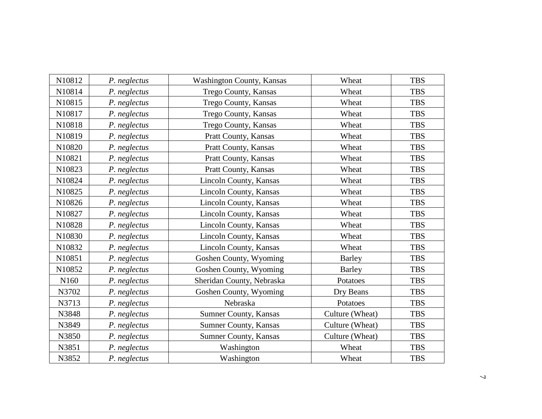| N10812 | P. neglectus | <b>Washington County, Kansas</b> | Wheat           | <b>TBS</b> |
|--------|--------------|----------------------------------|-----------------|------------|
| N10814 | P. neglectus | Trego County, Kansas             | Wheat           | <b>TBS</b> |
| N10815 | P. neglectus | Trego County, Kansas             | Wheat           | <b>TBS</b> |
| N10817 | P. neglectus | Trego County, Kansas             | Wheat           | <b>TBS</b> |
| N10818 | P. neglectus | Trego County, Kansas             | Wheat           | <b>TBS</b> |
| N10819 | P. neglectus | Pratt County, Kansas             | Wheat           | <b>TBS</b> |
| N10820 | P. neglectus | Pratt County, Kansas             | Wheat           | <b>TBS</b> |
| N10821 | P. neglectus | Pratt County, Kansas             | Wheat           | <b>TBS</b> |
| N10823 | P. neglectus | Pratt County, Kansas             | Wheat           | <b>TBS</b> |
| N10824 | P. neglectus | Lincoln County, Kansas           | Wheat           | <b>TBS</b> |
| N10825 | P. neglectus | Lincoln County, Kansas           | Wheat           | <b>TBS</b> |
| N10826 | P. neglectus | Lincoln County, Kansas           | Wheat           | <b>TBS</b> |
| N10827 | P. neglectus | Lincoln County, Kansas           | Wheat           | <b>TBS</b> |
| N10828 | P. neglectus | Lincoln County, Kansas           | Wheat           | <b>TBS</b> |
| N10830 | P. neglectus | Lincoln County, Kansas           | Wheat           | <b>TBS</b> |
| N10832 | P. neglectus | Lincoln County, Kansas           | Wheat           | <b>TBS</b> |
| N10851 | P. neglectus | Goshen County, Wyoming           | <b>Barley</b>   | <b>TBS</b> |
| N10852 | P. neglectus | Goshen County, Wyoming           | <b>Barley</b>   | <b>TBS</b> |
| N160   | P. neglectus | Sheridan County, Nebraska        | Potatoes        | <b>TBS</b> |
| N3702  | P. neglectus | Goshen County, Wyoming           | Dry Beans       | <b>TBS</b> |
| N3713  | P. neglectus | Nebraska                         | Potatoes        | <b>TBS</b> |
| N3848  | P. neglectus | Sumner County, Kansas            | Culture (Wheat) | <b>TBS</b> |
| N3849  | P. neglectus | Sumner County, Kansas            | Culture (Wheat) | <b>TBS</b> |
| N3850  | P. neglectus | <b>Sumner County, Kansas</b>     | Culture (Wheat) | <b>TBS</b> |
| N3851  | P. neglectus | Washington                       | Wheat           | <b>TBS</b> |
| N3852  | P. neglectus | Washington                       | Wheat           | <b>TBS</b> |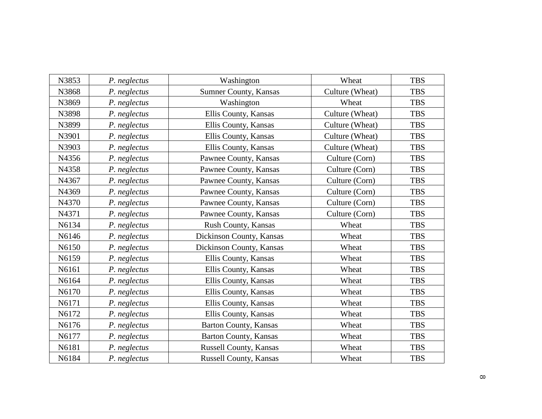| N3853 | P. neglectus | Washington                   | Wheat           | <b>TBS</b> |
|-------|--------------|------------------------------|-----------------|------------|
| N3868 | P. neglectus | Sumner County, Kansas        | Culture (Wheat) | <b>TBS</b> |
| N3869 | P. neglectus | Washington                   | Wheat           | <b>TBS</b> |
| N3898 | P. neglectus | Ellis County, Kansas         | Culture (Wheat) | <b>TBS</b> |
| N3899 | P. neglectus | Ellis County, Kansas         | Culture (Wheat) | <b>TBS</b> |
| N3901 | P. neglectus | Ellis County, Kansas         | Culture (Wheat) | <b>TBS</b> |
| N3903 | P. neglectus | Ellis County, Kansas         | Culture (Wheat) | <b>TBS</b> |
| N4356 | P. neglectus | Pawnee County, Kansas        | Culture (Corn)  | <b>TBS</b> |
| N4358 | P. neglectus | Pawnee County, Kansas        | Culture (Corn)  | <b>TBS</b> |
| N4367 | P. neglectus | Pawnee County, Kansas        | Culture (Corn)  | <b>TBS</b> |
| N4369 | P. neglectus | Pawnee County, Kansas        | Culture (Corn)  | <b>TBS</b> |
| N4370 | P. neglectus | Pawnee County, Kansas        | Culture (Corn)  | <b>TBS</b> |
| N4371 | P. neglectus | Pawnee County, Kansas        | Culture (Corn)  | <b>TBS</b> |
| N6134 | P. neglectus | Rush County, Kansas          | Wheat           | <b>TBS</b> |
| N6146 | P. neglectus | Dickinson County, Kansas     | Wheat           | <b>TBS</b> |
| N6150 | P. neglectus | Dickinson County, Kansas     | Wheat           | <b>TBS</b> |
| N6159 | P. neglectus | Ellis County, Kansas         | Wheat           | <b>TBS</b> |
| N6161 | P. neglectus | Ellis County, Kansas         | Wheat           | <b>TBS</b> |
| N6164 | P. neglectus | Ellis County, Kansas         | Wheat           | <b>TBS</b> |
| N6170 | P. neglectus | Ellis County, Kansas         | Wheat           | <b>TBS</b> |
| N6171 | P. neglectus | Ellis County, Kansas         | Wheat           | <b>TBS</b> |
| N6172 | P. neglectus | Ellis County, Kansas         | Wheat           | <b>TBS</b> |
| N6176 | P. neglectus | <b>Barton County, Kansas</b> | Wheat           | <b>TBS</b> |
| N6177 | P. neglectus | <b>Barton County, Kansas</b> | Wheat           | <b>TBS</b> |
| N6181 | P. neglectus | Russell County, Kansas       | Wheat           | <b>TBS</b> |
| N6184 | P. neglectus | Russell County, Kansas       | Wheat           | <b>TBS</b> |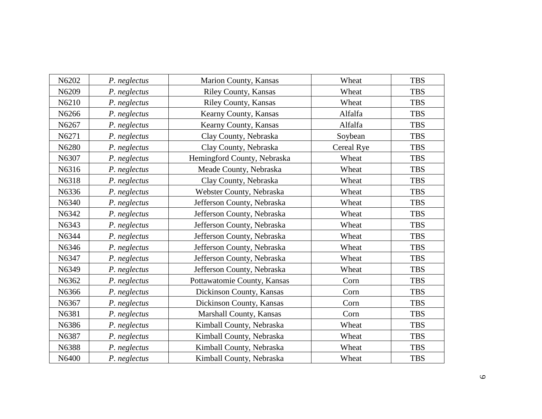| N6202 | P. neglectus | Marion County, Kansas       | Wheat      | <b>TBS</b> |
|-------|--------------|-----------------------------|------------|------------|
| N6209 | P. neglectus | Riley County, Kansas        | Wheat      | <b>TBS</b> |
| N6210 | P. neglectus | Riley County, Kansas        | Wheat      | <b>TBS</b> |
| N6266 | P. neglectus | Kearny County, Kansas       | Alfalfa    | <b>TBS</b> |
| N6267 | P. neglectus | Kearny County, Kansas       | Alfalfa    | <b>TBS</b> |
| N6271 | P. neglectus | Clay County, Nebraska       | Soybean    | <b>TBS</b> |
| N6280 | P. neglectus | Clay County, Nebraska       | Cereal Rye | <b>TBS</b> |
| N6307 | P. neglectus | Hemingford County, Nebraska | Wheat      | <b>TBS</b> |
| N6316 | P. neglectus | Meade County, Nebraska      | Wheat      | <b>TBS</b> |
| N6318 | P. neglectus | Clay County, Nebraska       | Wheat      | <b>TBS</b> |
| N6336 | P. neglectus | Webster County, Nebraska    | Wheat      | <b>TBS</b> |
| N6340 | P. neglectus | Jefferson County, Nebraska  | Wheat      | <b>TBS</b> |
| N6342 | P. neglectus | Jefferson County, Nebraska  | Wheat      | <b>TBS</b> |
| N6343 | P. neglectus | Jefferson County, Nebraska  | Wheat      | <b>TBS</b> |
| N6344 | P. neglectus | Jefferson County, Nebraska  | Wheat      | <b>TBS</b> |
| N6346 | P. neglectus | Jefferson County, Nebraska  | Wheat      | <b>TBS</b> |
| N6347 | P. neglectus | Jefferson County, Nebraska  | Wheat      | <b>TBS</b> |
| N6349 | P. neglectus | Jefferson County, Nebraska  | Wheat      | <b>TBS</b> |
| N6362 | P. neglectus | Pottawatomie County, Kansas | Corn       | <b>TBS</b> |
| N6366 | P. neglectus | Dickinson County, Kansas    | Corn       | <b>TBS</b> |
| N6367 | P. neglectus | Dickinson County, Kansas    | Corn       | <b>TBS</b> |
| N6381 | P. neglectus | Marshall County, Kansas     | Corn       | <b>TBS</b> |
| N6386 | P. neglectus | Kimball County, Nebraska    | Wheat      | <b>TBS</b> |
| N6387 | P. neglectus | Kimball County, Nebraska    | Wheat      | <b>TBS</b> |
| N6388 | P. neglectus | Kimball County, Nebraska    | Wheat      | <b>TBS</b> |
| N6400 | P. neglectus | Kimball County, Nebraska    | Wheat      | <b>TBS</b> |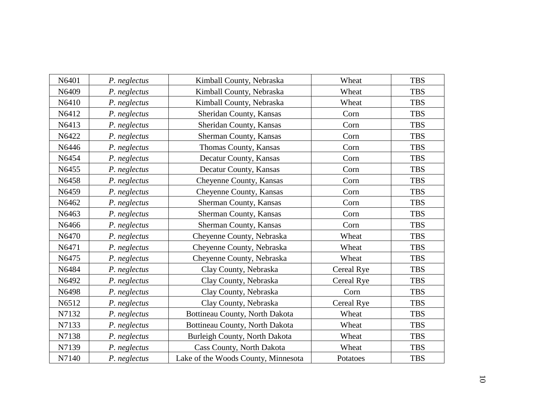| N6401 | P. neglectus | Kimball County, Nebraska            | Wheat      | <b>TBS</b> |
|-------|--------------|-------------------------------------|------------|------------|
| N6409 | P. neglectus | Kimball County, Nebraska            | Wheat      | <b>TBS</b> |
| N6410 | P. neglectus | Kimball County, Nebraska            | Wheat      | <b>TBS</b> |
| N6412 | P. neglectus | Sheridan County, Kansas             | Corn       | <b>TBS</b> |
| N6413 | P. neglectus | Sheridan County, Kansas             | Corn       | <b>TBS</b> |
| N6422 | P. neglectus | Sherman County, Kansas              | Corn       | <b>TBS</b> |
| N6446 | P. neglectus | Thomas County, Kansas               | Corn       | <b>TBS</b> |
| N6454 | P. neglectus | Decatur County, Kansas              | Corn       | <b>TBS</b> |
| N6455 | P. neglectus | Decatur County, Kansas              | Corn       | <b>TBS</b> |
| N6458 | P. neglectus | Cheyenne County, Kansas             | Corn       | <b>TBS</b> |
| N6459 | P. neglectus | Cheyenne County, Kansas             | Corn       | <b>TBS</b> |
| N6462 | P. neglectus | Sherman County, Kansas              | Corn       | <b>TBS</b> |
| N6463 | P. neglectus | Sherman County, Kansas              | Corn       | <b>TBS</b> |
| N6466 | P. neglectus | Sherman County, Kansas              | Corn       | <b>TBS</b> |
| N6470 | P. neglectus | Cheyenne County, Nebraska           | Wheat      | <b>TBS</b> |
| N6471 | P. neglectus | Cheyenne County, Nebraska           | Wheat      | <b>TBS</b> |
| N6475 | P. neglectus | Cheyenne County, Nebraska           | Wheat      | <b>TBS</b> |
| N6484 | P. neglectus | Clay County, Nebraska               | Cereal Rye | <b>TBS</b> |
| N6492 | P. neglectus | Clay County, Nebraska               | Cereal Rye | <b>TBS</b> |
| N6498 | P. neglectus | Clay County, Nebraska               | Corn       | <b>TBS</b> |
| N6512 | P. neglectus | Clay County, Nebraska               | Cereal Rye | <b>TBS</b> |
| N7132 | P. neglectus | Bottineau County, North Dakota      | Wheat      | <b>TBS</b> |
| N7133 | P. neglectus | Bottineau County, North Dakota      | Wheat      | <b>TBS</b> |
| N7138 | P. neglectus | Burleigh County, North Dakota       | Wheat      | <b>TBS</b> |
| N7139 | P. neglectus | Cass County, North Dakota           | Wheat      | <b>TBS</b> |
| N7140 | P. neglectus | Lake of the Woods County, Minnesota | Potatoes   | <b>TBS</b> |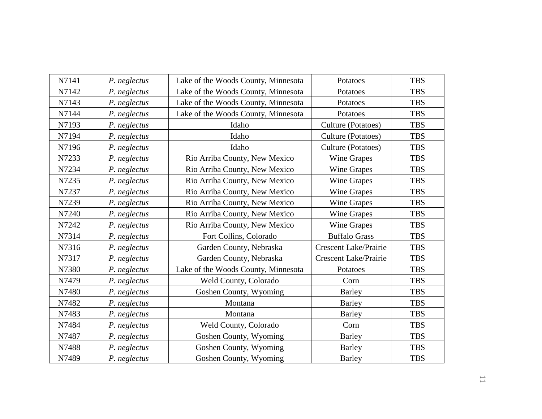| N7141 | P. neglectus | Lake of the Woods County, Minnesota | Potatoes                     | <b>TBS</b> |
|-------|--------------|-------------------------------------|------------------------------|------------|
| N7142 | P. neglectus | Lake of the Woods County, Minnesota | Potatoes                     | <b>TBS</b> |
| N7143 | P. neglectus | Lake of the Woods County, Minnesota | Potatoes                     | <b>TBS</b> |
| N7144 | P. neglectus | Lake of the Woods County, Minnesota | Potatoes                     | <b>TBS</b> |
| N7193 | P. neglectus | Idaho                               | Culture (Potatoes)           | <b>TBS</b> |
| N7194 | P. neglectus | Idaho                               | Culture (Potatoes)           | <b>TBS</b> |
| N7196 | P. neglectus | Idaho                               | Culture (Potatoes)           | <b>TBS</b> |
| N7233 | P. neglectus | Rio Arriba County, New Mexico       | Wine Grapes                  | <b>TBS</b> |
| N7234 | P. neglectus | Rio Arriba County, New Mexico       | Wine Grapes                  | <b>TBS</b> |
| N7235 | P. neglectus | Rio Arriba County, New Mexico       | Wine Grapes                  | <b>TBS</b> |
| N7237 | P. neglectus | Rio Arriba County, New Mexico       | <b>Wine Grapes</b>           | <b>TBS</b> |
| N7239 | P. neglectus | Rio Arriba County, New Mexico       | Wine Grapes                  | <b>TBS</b> |
| N7240 | P. neglectus | Rio Arriba County, New Mexico       | Wine Grapes                  | <b>TBS</b> |
| N7242 | P. neglectus | Rio Arriba County, New Mexico       | Wine Grapes                  | <b>TBS</b> |
| N7314 | P. neglectus | Fort Collins, Colorado              | <b>Buffalo Grass</b>         | <b>TBS</b> |
| N7316 | P. neglectus | Garden County, Nebraska             | <b>Crescent Lake/Prairie</b> | <b>TBS</b> |
| N7317 | P. neglectus | Garden County, Nebraska             | <b>Crescent Lake/Prairie</b> | <b>TBS</b> |
| N7380 | P. neglectus | Lake of the Woods County, Minnesota | Potatoes                     | <b>TBS</b> |
| N7479 | P. neglectus | Weld County, Colorado               | Corn                         | <b>TBS</b> |
| N7480 | P. neglectus | Goshen County, Wyoming              | <b>Barley</b>                | <b>TBS</b> |
| N7482 | P. neglectus | Montana                             | <b>Barley</b>                | <b>TBS</b> |
| N7483 | P. neglectus | Montana                             | <b>Barley</b>                | <b>TBS</b> |
| N7484 | P. neglectus | Weld County, Colorado               | Corn                         | <b>TBS</b> |
| N7487 | P. neglectus | Goshen County, Wyoming              | <b>Barley</b>                | <b>TBS</b> |
| N7488 | P. neglectus | Goshen County, Wyoming              | <b>Barley</b>                | <b>TBS</b> |
| N7489 | P. neglectus | Goshen County, Wyoming              | <b>Barley</b>                | <b>TBS</b> |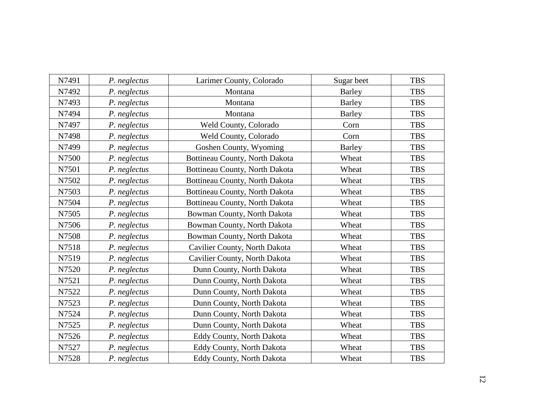| N7491 | P. neglectus | Larimer County, Colorado       | Sugar beet    | <b>TBS</b> |
|-------|--------------|--------------------------------|---------------|------------|
| N7492 | P. neglectus | Montana                        | <b>Barley</b> | <b>TBS</b> |
| N7493 | P. neglectus | Montana                        | <b>Barley</b> | <b>TBS</b> |
| N7494 | P. neglectus | Montana                        | Barley        | <b>TBS</b> |
| N7497 | P. neglectus | Weld County, Colorado          | Corn          | <b>TBS</b> |
| N7498 | P. neglectus | Weld County, Colorado          | Corn          | <b>TBS</b> |
| N7499 | P. neglectus | Goshen County, Wyoming         | <b>Barley</b> | <b>TBS</b> |
| N7500 | P. neglectus | Bottineau County, North Dakota | Wheat         | <b>TBS</b> |
| N7501 | P. neglectus | Bottineau County, North Dakota | Wheat         | <b>TBS</b> |
| N7502 | P. neglectus | Bottineau County, North Dakota | Wheat         | <b>TBS</b> |
| N7503 | P. neglectus | Bottineau County, North Dakota | Wheat         | <b>TBS</b> |
| N7504 | P. neglectus | Bottineau County, North Dakota | Wheat         | <b>TBS</b> |
| N7505 | P. neglectus | Bowman County, North Dakota    | Wheat         | <b>TBS</b> |
| N7506 | P. neglectus | Bowman County, North Dakota    | Wheat         | <b>TBS</b> |
| N7508 | P. neglectus | Bowman County, North Dakota    | Wheat         | <b>TBS</b> |
| N7518 | P. neglectus | Cavilier County, North Dakota  | Wheat         | <b>TBS</b> |
| N7519 | P. neglectus | Cavilier County, North Dakota  | Wheat         | <b>TBS</b> |
| N7520 | P. neglectus | Dunn County, North Dakota      | Wheat         | <b>TBS</b> |
| N7521 | P. neglectus | Dunn County, North Dakota      | Wheat         | <b>TBS</b> |
| N7522 | P. neglectus | Dunn County, North Dakota      | Wheat         | <b>TBS</b> |
| N7523 | P. neglectus | Dunn County, North Dakota      | Wheat         | <b>TBS</b> |
| N7524 | P. neglectus | Dunn County, North Dakota      | Wheat         | <b>TBS</b> |
| N7525 | P. neglectus | Dunn County, North Dakota      | Wheat         | <b>TBS</b> |
| N7526 | P. neglectus | Eddy County, North Dakota      | Wheat         | <b>TBS</b> |
| N7527 | P. neglectus | Eddy County, North Dakota      | Wheat         | <b>TBS</b> |
| N7528 | P. neglectus | Eddy County, North Dakota      | Wheat         | <b>TBS</b> |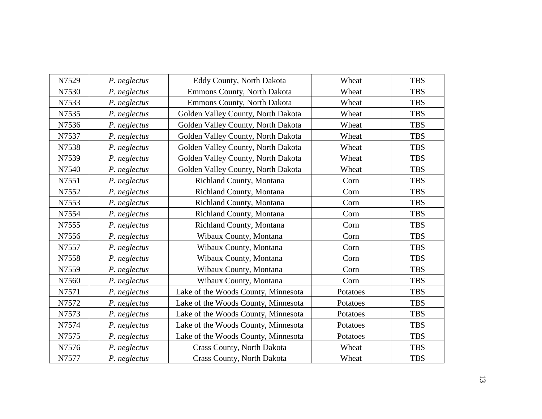| N7529 | P. neglectus | Eddy County, North Dakota           | Wheat    | <b>TBS</b> |
|-------|--------------|-------------------------------------|----------|------------|
| N7530 | P. neglectus | Emmons County, North Dakota         | Wheat    | <b>TBS</b> |
| N7533 | P. neglectus | Emmons County, North Dakota         | Wheat    | <b>TBS</b> |
| N7535 | P. neglectus | Golden Valley County, North Dakota  | Wheat    | <b>TBS</b> |
| N7536 | P. neglectus | Golden Valley County, North Dakota  | Wheat    | <b>TBS</b> |
| N7537 | P. neglectus | Golden Valley County, North Dakota  | Wheat    | <b>TBS</b> |
| N7538 | P. neglectus | Golden Valley County, North Dakota  | Wheat    | <b>TBS</b> |
| N7539 | P. neglectus | Golden Valley County, North Dakota  | Wheat    | <b>TBS</b> |
| N7540 | P. neglectus | Golden Valley County, North Dakota  | Wheat    | <b>TBS</b> |
| N7551 | P. neglectus | Richland County, Montana            | Corn     | <b>TBS</b> |
| N7552 | P. neglectus | Richland County, Montana            | Corn     | <b>TBS</b> |
| N7553 | P. neglectus | Richland County, Montana            | Corn     | <b>TBS</b> |
| N7554 | P. neglectus | Richland County, Montana            | Corn     | <b>TBS</b> |
| N7555 | P. neglectus | Richland County, Montana            | Corn     | <b>TBS</b> |
| N7556 | P. neglectus | Wibaux County, Montana              | Corn     | <b>TBS</b> |
| N7557 | P. neglectus | Wibaux County, Montana              | Corn     | <b>TBS</b> |
| N7558 | P. neglectus | Wibaux County, Montana              | Corn     | <b>TBS</b> |
| N7559 | P. neglectus | Wibaux County, Montana              | Corn     | <b>TBS</b> |
| N7560 | P. neglectus | Wibaux County, Montana              | Corn     | <b>TBS</b> |
| N7571 | P. neglectus | Lake of the Woods County, Minnesota | Potatoes | <b>TBS</b> |
| N7572 | P. neglectus | Lake of the Woods County, Minnesota | Potatoes | <b>TBS</b> |
| N7573 | P. neglectus | Lake of the Woods County, Minnesota | Potatoes | <b>TBS</b> |
| N7574 | P. neglectus | Lake of the Woods County, Minnesota | Potatoes | <b>TBS</b> |
| N7575 | P. neglectus | Lake of the Woods County, Minnesota | Potatoes | <b>TBS</b> |
| N7576 | P. neglectus | Crass County, North Dakota          | Wheat    | <b>TBS</b> |
| N7577 | P. neglectus | Crass County, North Dakota          | Wheat    | <b>TBS</b> |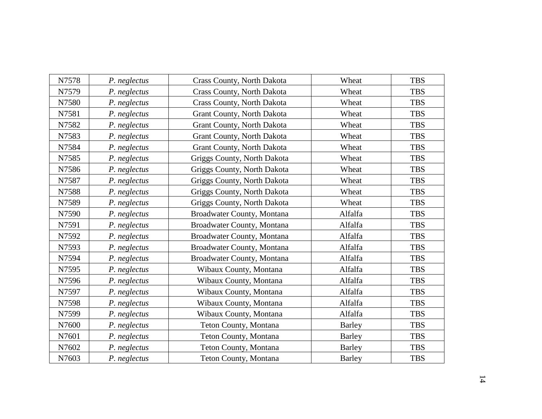| N7578 | P. neglectus | <b>Crass County, North Dakota</b> | Wheat         | <b>TBS</b> |
|-------|--------------|-----------------------------------|---------------|------------|
| N7579 | P. neglectus | <b>Crass County, North Dakota</b> | Wheat         | <b>TBS</b> |
| N7580 | P. neglectus | Crass County, North Dakota        | Wheat         | <b>TBS</b> |
| N7581 | P. neglectus | Grant County, North Dakota        | Wheat         | <b>TBS</b> |
| N7582 | P. neglectus | Grant County, North Dakota        | Wheat         | <b>TBS</b> |
| N7583 | P. neglectus | Grant County, North Dakota        | Wheat         | <b>TBS</b> |
| N7584 | P. neglectus | Grant County, North Dakota        | Wheat         | <b>TBS</b> |
| N7585 | P. neglectus | Griggs County, North Dakota       | Wheat         | <b>TBS</b> |
| N7586 | P. neglectus | Griggs County, North Dakota       | Wheat         | <b>TBS</b> |
| N7587 | P. neglectus | Griggs County, North Dakota       | Wheat         | <b>TBS</b> |
| N7588 | P. neglectus | Griggs County, North Dakota       | Wheat         | <b>TBS</b> |
| N7589 | P. neglectus | Griggs County, North Dakota       | Wheat         | <b>TBS</b> |
| N7590 | P. neglectus | Broadwater County, Montana        | Alfalfa       | <b>TBS</b> |
| N7591 | P. neglectus | Broadwater County, Montana        | Alfalfa       | <b>TBS</b> |
| N7592 | P. neglectus | Broadwater County, Montana        | Alfalfa       | <b>TBS</b> |
| N7593 | P. neglectus | Broadwater County, Montana        | Alfalfa       | <b>TBS</b> |
| N7594 | P. neglectus | Broadwater County, Montana        | Alfalfa       | <b>TBS</b> |
| N7595 | P. neglectus | Wibaux County, Montana            | Alfalfa       | <b>TBS</b> |
| N7596 | P. neglectus | Wibaux County, Montana            | Alfalfa       | <b>TBS</b> |
| N7597 | P. neglectus | Wibaux County, Montana            | Alfalfa       | <b>TBS</b> |
| N7598 | P. neglectus | Wibaux County, Montana            | Alfalfa       | <b>TBS</b> |
| N7599 | P. neglectus | Wibaux County, Montana            | Alfalfa       | <b>TBS</b> |
| N7600 | P. neglectus | Teton County, Montana             | <b>Barley</b> | <b>TBS</b> |
| N7601 | P. neglectus | Teton County, Montana             | <b>Barley</b> | <b>TBS</b> |
| N7602 | P. neglectus | Teton County, Montana             | Barley        | <b>TBS</b> |
| N7603 | P. neglectus | Teton County, Montana             | <b>Barley</b> | <b>TBS</b> |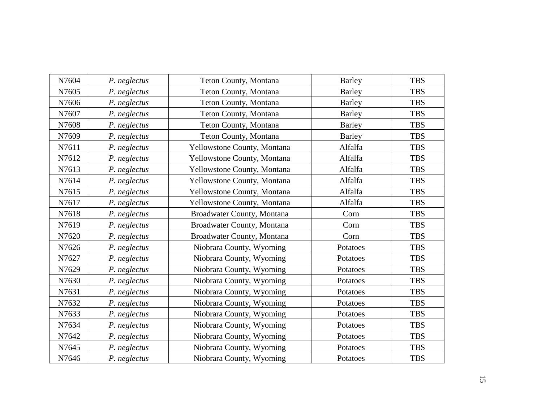| N7604 | P. neglectus | Teton County, Montana       | <b>Barley</b> | <b>TBS</b> |
|-------|--------------|-----------------------------|---------------|------------|
| N7605 | P. neglectus | Teton County, Montana       | <b>Barley</b> | <b>TBS</b> |
| N7606 | P. neglectus | Teton County, Montana       | Barley        | <b>TBS</b> |
| N7607 | P. neglectus | Teton County, Montana       | <b>Barley</b> | <b>TBS</b> |
| N7608 | P. neglectus | Teton County, Montana       | <b>Barley</b> | <b>TBS</b> |
| N7609 | P. neglectus | Teton County, Montana       | Barley        | <b>TBS</b> |
| N7611 | P. neglectus | Yellowstone County, Montana | Alfalfa       | <b>TBS</b> |
| N7612 | P. neglectus | Yellowstone County, Montana | Alfalfa       | <b>TBS</b> |
| N7613 | P. neglectus | Yellowstone County, Montana | Alfalfa       | <b>TBS</b> |
| N7614 | P. neglectus | Yellowstone County, Montana | Alfalfa       | <b>TBS</b> |
| N7615 | P. neglectus | Yellowstone County, Montana | Alfalfa       | <b>TBS</b> |
| N7617 | P. neglectus | Yellowstone County, Montana | Alfalfa       | <b>TBS</b> |
| N7618 | P. neglectus | Broadwater County, Montana  | Corn          | <b>TBS</b> |
| N7619 | P. neglectus | Broadwater County, Montana  | Corn          | <b>TBS</b> |
| N7620 | P. neglectus | Broadwater County, Montana  | Corn          | <b>TBS</b> |
| N7626 | P. neglectus | Niobrara County, Wyoming    | Potatoes      | <b>TBS</b> |
| N7627 | P. neglectus | Niobrara County, Wyoming    | Potatoes      | <b>TBS</b> |
| N7629 | P. neglectus | Niobrara County, Wyoming    | Potatoes      | <b>TBS</b> |
| N7630 | P. neglectus | Niobrara County, Wyoming    | Potatoes      | <b>TBS</b> |
| N7631 | P. neglectus | Niobrara County, Wyoming    | Potatoes      | <b>TBS</b> |
| N7632 | P. neglectus | Niobrara County, Wyoming    | Potatoes      | <b>TBS</b> |
| N7633 | P. neglectus | Niobrara County, Wyoming    | Potatoes      | <b>TBS</b> |
| N7634 | P. neglectus | Niobrara County, Wyoming    | Potatoes      | <b>TBS</b> |
| N7642 | P. neglectus | Niobrara County, Wyoming    | Potatoes      | <b>TBS</b> |
| N7645 | P. neglectus | Niobrara County, Wyoming    | Potatoes      | <b>TBS</b> |
| N7646 | P. neglectus | Niobrara County, Wyoming    | Potatoes      | <b>TBS</b> |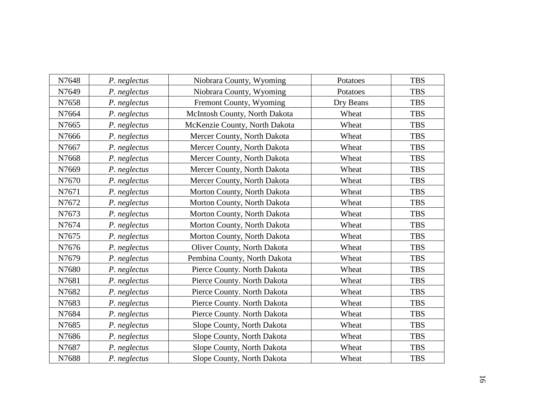| N7648 | P. neglectus | Niobrara County, Wyoming           | Potatoes  | <b>TBS</b> |
|-------|--------------|------------------------------------|-----------|------------|
| N7649 | P. neglectus | Niobrara County, Wyoming           | Potatoes  | <b>TBS</b> |
| N7658 | P. neglectus | Fremont County, Wyoming            | Dry Beans | <b>TBS</b> |
| N7664 | P. neglectus | McIntosh County, North Dakota      | Wheat     | <b>TBS</b> |
| N7665 | P. neglectus | McKenzie County, North Dakota      | Wheat     | <b>TBS</b> |
| N7666 | P. neglectus | Mercer County, North Dakota        | Wheat     | <b>TBS</b> |
| N7667 | P. neglectus | Mercer County, North Dakota        | Wheat     | <b>TBS</b> |
| N7668 | P. neglectus | Mercer County, North Dakota        | Wheat     | <b>TBS</b> |
| N7669 | P. neglectus | Mercer County, North Dakota        | Wheat     | <b>TBS</b> |
| N7670 | P. neglectus | Mercer County, North Dakota        | Wheat     | <b>TBS</b> |
| N7671 | P. neglectus | Morton County, North Dakota        | Wheat     | <b>TBS</b> |
| N7672 | P. neglectus | Morton County, North Dakota        | Wheat     | <b>TBS</b> |
| N7673 | P. neglectus | Morton County, North Dakota        | Wheat     | <b>TBS</b> |
| N7674 | P. neglectus | Morton County, North Dakota        | Wheat     | <b>TBS</b> |
| N7675 | P. neglectus | Morton County, North Dakota        | Wheat     | <b>TBS</b> |
| N7676 | P. neglectus | <b>Oliver County, North Dakota</b> | Wheat     | <b>TBS</b> |
| N7679 | P. neglectus | Pembina County, North Dakota       | Wheat     | <b>TBS</b> |
| N7680 | P. neglectus | Pierce County. North Dakota        | Wheat     | <b>TBS</b> |
| N7681 | P. neglectus | Pierce County. North Dakota        | Wheat     | <b>TBS</b> |
| N7682 | P. neglectus | Pierce County. North Dakota        | Wheat     | <b>TBS</b> |
| N7683 | P. neglectus | Pierce County. North Dakota        | Wheat     | <b>TBS</b> |
| N7684 | P. neglectus | Pierce County. North Dakota        | Wheat     | <b>TBS</b> |
| N7685 | P. neglectus | Slope County, North Dakota         | Wheat     | <b>TBS</b> |
| N7686 | P. neglectus | Slope County, North Dakota         | Wheat     | <b>TBS</b> |
| N7687 | P. neglectus | Slope County, North Dakota         | Wheat     | <b>TBS</b> |
| N7688 | P. neglectus | Slope County, North Dakota         | Wheat     | <b>TBS</b> |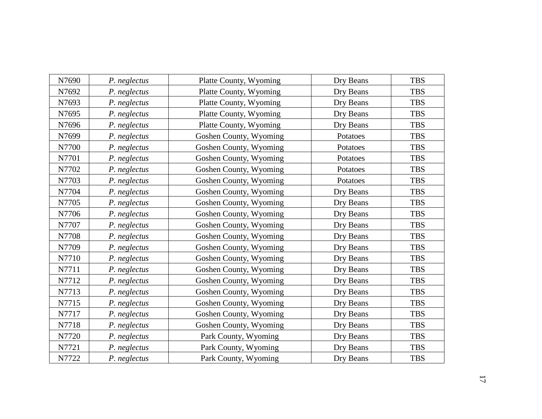| N7690 | P. neglectus | Platte County, Wyoming | Dry Beans | <b>TBS</b> |
|-------|--------------|------------------------|-----------|------------|
| N7692 | P. neglectus | Platte County, Wyoming | Dry Beans | <b>TBS</b> |
| N7693 | P. neglectus | Platte County, Wyoming | Dry Beans | <b>TBS</b> |
| N7695 | P. neglectus | Platte County, Wyoming | Dry Beans | <b>TBS</b> |
| N7696 | P. neglectus | Platte County, Wyoming | Dry Beans | <b>TBS</b> |
| N7699 | P. neglectus | Goshen County, Wyoming | Potatoes  | <b>TBS</b> |
| N7700 | P. neglectus | Goshen County, Wyoming | Potatoes  | <b>TBS</b> |
| N7701 | P. neglectus | Goshen County, Wyoming | Potatoes  | <b>TBS</b> |
| N7702 | P. neglectus | Goshen County, Wyoming | Potatoes  | <b>TBS</b> |
| N7703 | P. neglectus | Goshen County, Wyoming | Potatoes  | <b>TBS</b> |
| N7704 | P. neglectus | Goshen County, Wyoming | Dry Beans | <b>TBS</b> |
| N7705 | P. neglectus | Goshen County, Wyoming | Dry Beans | <b>TBS</b> |
| N7706 | P. neglectus | Goshen County, Wyoming | Dry Beans | <b>TBS</b> |
| N7707 | P. neglectus | Goshen County, Wyoming | Dry Beans | <b>TBS</b> |
| N7708 | P. neglectus | Goshen County, Wyoming | Dry Beans | <b>TBS</b> |
| N7709 | P. neglectus | Goshen County, Wyoming | Dry Beans | <b>TBS</b> |
| N7710 | P. neglectus | Goshen County, Wyoming | Dry Beans | <b>TBS</b> |
| N7711 | P. neglectus | Goshen County, Wyoming | Dry Beans | <b>TBS</b> |
| N7712 | P. neglectus | Goshen County, Wyoming | Dry Beans | <b>TBS</b> |
| N7713 | P. neglectus | Goshen County, Wyoming | Dry Beans | <b>TBS</b> |
| N7715 | P. neglectus | Goshen County, Wyoming | Dry Beans | <b>TBS</b> |
| N7717 | P. neglectus | Goshen County, Wyoming | Dry Beans | <b>TBS</b> |
| N7718 | P. neglectus | Goshen County, Wyoming | Dry Beans | <b>TBS</b> |
| N7720 | P. neglectus | Park County, Wyoming   | Dry Beans | <b>TBS</b> |
| N7721 | P. neglectus | Park County, Wyoming   | Dry Beans | <b>TBS</b> |
| N7722 | P. neglectus | Park County, Wyoming   | Dry Beans | <b>TBS</b> |
|       |              |                        |           |            |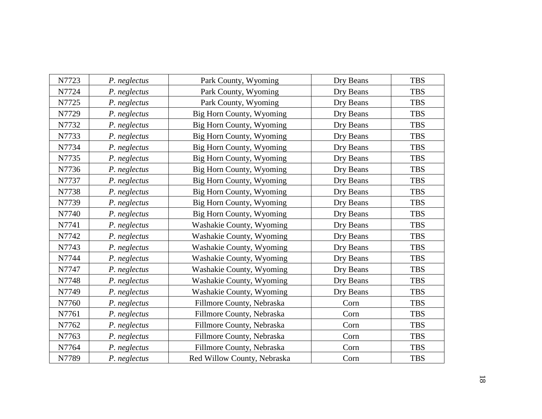| N7723 | P. neglectus | Park County, Wyoming        | Dry Beans | <b>TBS</b> |
|-------|--------------|-----------------------------|-----------|------------|
| N7724 | P. neglectus | Park County, Wyoming        | Dry Beans | <b>TBS</b> |
| N7725 | P. neglectus | Park County, Wyoming        | Dry Beans | <b>TBS</b> |
| N7729 | P. neglectus | Big Horn County, Wyoming    | Dry Beans | <b>TBS</b> |
| N7732 | P. neglectus | Big Horn County, Wyoming    | Dry Beans | <b>TBS</b> |
| N7733 | P. neglectus | Big Horn County, Wyoming    | Dry Beans | <b>TBS</b> |
| N7734 | P. neglectus | Big Horn County, Wyoming    | Dry Beans | <b>TBS</b> |
| N7735 | P. neglectus | Big Horn County, Wyoming    | Dry Beans | <b>TBS</b> |
| N7736 | P. neglectus | Big Horn County, Wyoming    | Dry Beans | <b>TBS</b> |
| N7737 | P. neglectus | Big Horn County, Wyoming    | Dry Beans | <b>TBS</b> |
| N7738 | P. neglectus | Big Horn County, Wyoming    | Dry Beans | <b>TBS</b> |
| N7739 | P. neglectus | Big Horn County, Wyoming    | Dry Beans | <b>TBS</b> |
| N7740 | P. neglectus | Big Horn County, Wyoming    | Dry Beans | <b>TBS</b> |
| N7741 | P. neglectus | Washakie County, Wyoming    | Dry Beans | <b>TBS</b> |
| N7742 | P. neglectus | Washakie County, Wyoming    | Dry Beans | <b>TBS</b> |
| N7743 | P. neglectus | Washakie County, Wyoming    | Dry Beans | <b>TBS</b> |
| N7744 | P. neglectus | Washakie County, Wyoming    | Dry Beans | <b>TBS</b> |
| N7747 | P. neglectus | Washakie County, Wyoming    | Dry Beans | <b>TBS</b> |
| N7748 | P. neglectus | Washakie County, Wyoming    | Dry Beans | <b>TBS</b> |
| N7749 | P. neglectus | Washakie County, Wyoming    | Dry Beans | <b>TBS</b> |
| N7760 | P. neglectus | Fillmore County, Nebraska   | Corn      | <b>TBS</b> |
| N7761 | P. neglectus | Fillmore County, Nebraska   | Corn      | <b>TBS</b> |
| N7762 | P. neglectus | Fillmore County, Nebraska   | Corn      | <b>TBS</b> |
| N7763 | P. neglectus | Fillmore County, Nebraska   | Corn      | <b>TBS</b> |
| N7764 | P. neglectus | Fillmore County, Nebraska   | Corn      | <b>TBS</b> |
| N7789 | P. neglectus | Red Willow County, Nebraska | Corn      | <b>TBS</b> |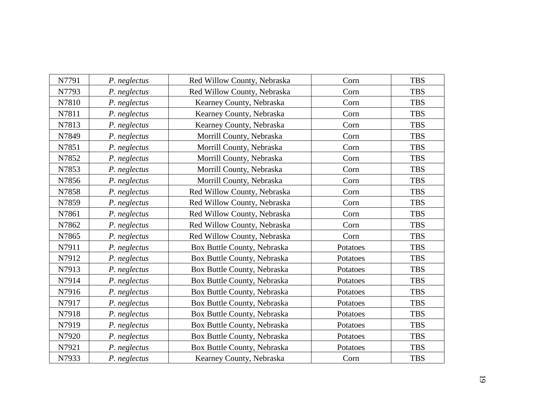| N7791 | P. neglectus | Red Willow County, Nebraska | Corn     | <b>TBS</b> |
|-------|--------------|-----------------------------|----------|------------|
| N7793 | P. neglectus | Red Willow County, Nebraska | Corn     | <b>TBS</b> |
| N7810 | P. neglectus | Kearney County, Nebraska    | Corn     | <b>TBS</b> |
| N7811 | P. neglectus | Kearney County, Nebraska    | Corn     | <b>TBS</b> |
| N7813 | P. neglectus | Kearney County, Nebraska    | Corn     | <b>TBS</b> |
| N7849 | P. neglectus | Morrill County, Nebraska    | Corn     | <b>TBS</b> |
| N7851 | P. neglectus | Morrill County, Nebraska    | Corn     | <b>TBS</b> |
| N7852 | P. neglectus | Morrill County, Nebraska    | Corn     | <b>TBS</b> |
| N7853 | P. neglectus | Morrill County, Nebraska    | Corn     | <b>TBS</b> |
| N7856 | P. neglectus | Morrill County, Nebraska    | Corn     | <b>TBS</b> |
| N7858 | P. neglectus | Red Willow County, Nebraska | Corn     | <b>TBS</b> |
| N7859 | P. neglectus | Red Willow County, Nebraska | Corn     | <b>TBS</b> |
| N7861 | P. neglectus | Red Willow County, Nebraska | Corn     | <b>TBS</b> |
| N7862 | P. neglectus | Red Willow County, Nebraska | Corn     | <b>TBS</b> |
| N7865 | P. neglectus | Red Willow County, Nebraska | Corn     | <b>TBS</b> |
| N7911 | P. neglectus | Box Buttle County, Nebraska | Potatoes | <b>TBS</b> |
| N7912 | P. neglectus | Box Buttle County, Nebraska | Potatoes | <b>TBS</b> |
| N7913 | P. neglectus | Box Buttle County, Nebraska | Potatoes | <b>TBS</b> |
| N7914 | P. neglectus | Box Buttle County, Nebraska | Potatoes | <b>TBS</b> |
| N7916 | P. neglectus | Box Buttle County, Nebraska | Potatoes | <b>TBS</b> |
| N7917 | P. neglectus | Box Buttle County, Nebraska | Potatoes | <b>TBS</b> |
| N7918 | P. neglectus | Box Buttle County, Nebraska | Potatoes | <b>TBS</b> |
| N7919 | P. neglectus | Box Buttle County, Nebraska | Potatoes | <b>TBS</b> |
| N7920 | P. neglectus | Box Buttle County, Nebraska | Potatoes | <b>TBS</b> |
| N7921 | P. neglectus | Box Buttle County, Nebraska | Potatoes | <b>TBS</b> |
| N7933 | P. neglectus | Kearney County, Nebraska    | Corn     | <b>TBS</b> |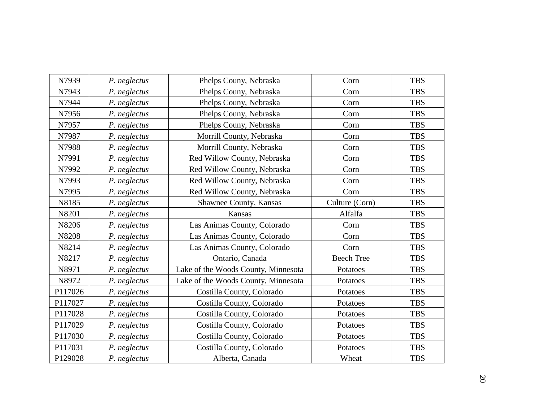| N7939   | P. neglectus | Phelps Couny, Nebraska              | Corn              | <b>TBS</b> |
|---------|--------------|-------------------------------------|-------------------|------------|
| N7943   | P. neglectus | Phelps Couny, Nebraska              | Corn              | <b>TBS</b> |
| N7944   | P. neglectus | Phelps Couny, Nebraska              | Corn              | <b>TBS</b> |
| N7956   | P. neglectus | Phelps Couny, Nebraska              | Corn              | <b>TBS</b> |
| N7957   | P. neglectus | Phelps Couny, Nebraska              | Corn              | <b>TBS</b> |
| N7987   | P. neglectus | Morrill County, Nebraska            | Corn              | <b>TBS</b> |
| N7988   | P. neglectus | Morrill County, Nebraska            | Corn              | <b>TBS</b> |
| N7991   | P. neglectus | Red Willow County, Nebraska         | Corn              | <b>TBS</b> |
| N7992   | P. neglectus | Red Willow County, Nebraska         | Corn              | <b>TBS</b> |
| N7993   | P. neglectus | Red Willow County, Nebraska         | Corn              | <b>TBS</b> |
| N7995   | P. neglectus | Red Willow County, Nebraska         | Corn              | <b>TBS</b> |
| N8185   | P. neglectus | Shawnee County, Kansas              | Culture (Corn)    | <b>TBS</b> |
| N8201   | P. neglectus | Kansas                              | Alfalfa           | <b>TBS</b> |
| N8206   | P. neglectus | Las Animas County, Colorado         | Corn              | <b>TBS</b> |
| N8208   | P. neglectus | Las Animas County, Colorado         | Corn              | <b>TBS</b> |
| N8214   | P. neglectus | Las Animas County, Colorado         | Corn              | <b>TBS</b> |
| N8217   | P. neglectus | Ontario, Canada                     | <b>Beech Tree</b> | <b>TBS</b> |
| N8971   | P. neglectus | Lake of the Woods County, Minnesota | Potatoes          | <b>TBS</b> |
| N8972   | P. neglectus | Lake of the Woods County, Minnesota | Potatoes          | <b>TBS</b> |
| P117026 | P. neglectus | Costilla County, Colorado           | Potatoes          | <b>TBS</b> |
| P117027 | P. neglectus | Costilla County, Colorado           | Potatoes          | <b>TBS</b> |
| P117028 | P. neglectus | Costilla County, Colorado           | Potatoes          | <b>TBS</b> |
| P117029 | P. neglectus | Costilla County, Colorado           | Potatoes          | <b>TBS</b> |
| P117030 | P. neglectus | Costilla County, Colorado           | Potatoes          | <b>TBS</b> |
| P117031 | P. neglectus | Costilla County, Colorado           | Potatoes          | <b>TBS</b> |
| P129028 | P. neglectus | Alberta, Canada                     | Wheat             | <b>TBS</b> |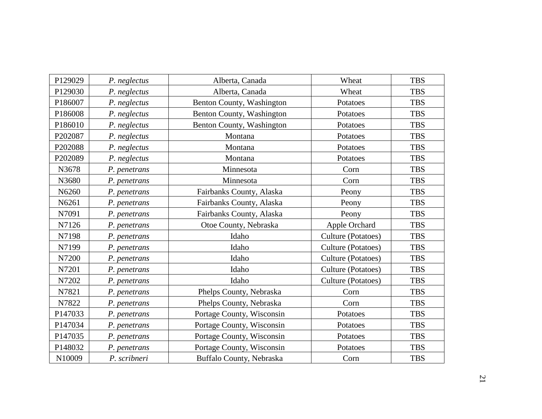| P129029 | P. neglectus | Alberta, Canada           | Wheat              | <b>TBS</b> |
|---------|--------------|---------------------------|--------------------|------------|
| P129030 | P. neglectus | Alberta, Canada           | Wheat              | <b>TBS</b> |
| P186007 | P. neglectus | Benton County, Washington | Potatoes           | <b>TBS</b> |
| P186008 | P. neglectus | Benton County, Washington | Potatoes           | <b>TBS</b> |
| P186010 | P. neglectus | Benton County, Washington | Potatoes           | <b>TBS</b> |
| P202087 | P. neglectus | Montana                   | Potatoes           | <b>TBS</b> |
| P202088 | P. neglectus | Montana                   | Potatoes           | <b>TBS</b> |
| P202089 | P. neglectus | Montana                   | Potatoes           | <b>TBS</b> |
| N3678   | P. penetrans | Minnesota                 | Corn               | <b>TBS</b> |
| N3680   | P. penetrans | Minnesota                 | Corn               | <b>TBS</b> |
| N6260   | P. penetrans | Fairbanks County, Alaska  | Peony              | <b>TBS</b> |
| N6261   | P. penetrans | Fairbanks County, Alaska  | Peony              | <b>TBS</b> |
| N7091   | P. penetrans | Fairbanks County, Alaska  | Peony              | <b>TBS</b> |
| N7126   | P. penetrans | Otoe County, Nebraska     | Apple Orchard      | <b>TBS</b> |
| N7198   | P. penetrans | Idaho                     | Culture (Potatoes) | <b>TBS</b> |
| N7199   | P. penetrans | Idaho                     | Culture (Potatoes) | <b>TBS</b> |
| N7200   | P. penetrans | Idaho                     | Culture (Potatoes) | <b>TBS</b> |
| N7201   | P. penetrans | Idaho                     | Culture (Potatoes) | <b>TBS</b> |
| N7202   | P. penetrans | Idaho                     | Culture (Potatoes) | <b>TBS</b> |
| N7821   | P. penetrans | Phelps County, Nebraska   | Corn               | <b>TBS</b> |
| N7822   | P. penetrans | Phelps County, Nebraska   | Corn               | <b>TBS</b> |
| P147033 | P. penetrans | Portage County, Wisconsin | Potatoes           | <b>TBS</b> |
| P147034 | P. penetrans | Portage County, Wisconsin | Potatoes           | <b>TBS</b> |
| P147035 | P. penetrans | Portage County, Wisconsin | Potatoes           | <b>TBS</b> |
| P148032 | P. penetrans | Portage County, Wisconsin | Potatoes           | <b>TBS</b> |
| N10009  | P. scribneri | Buffalo County, Nebraska  | Corn               | <b>TBS</b> |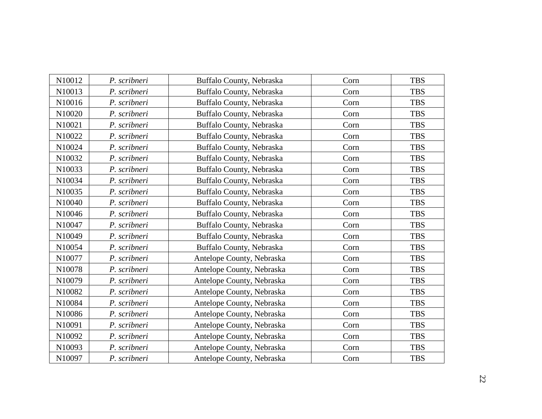| N10012 | P. scribneri | Buffalo County, Nebraska  | Corn | <b>TBS</b> |
|--------|--------------|---------------------------|------|------------|
| N10013 | P. scribneri | Buffalo County, Nebraska  | Corn | <b>TBS</b> |
| N10016 | P. scribneri | Buffalo County, Nebraska  | Corn | <b>TBS</b> |
| N10020 | P. scribneri | Buffalo County, Nebraska  | Corn | <b>TBS</b> |
| N10021 | P. scribneri | Buffalo County, Nebraska  | Corn | <b>TBS</b> |
| N10022 | P. scribneri | Buffalo County, Nebraska  | Corn | <b>TBS</b> |
| N10024 | P. scribneri | Buffalo County, Nebraska  | Corn | <b>TBS</b> |
| N10032 | P. scribneri | Buffalo County, Nebraska  | Corn | <b>TBS</b> |
| N10033 | P. scribneri | Buffalo County, Nebraska  | Corn | <b>TBS</b> |
| N10034 | P. scribneri | Buffalo County, Nebraska  | Corn | <b>TBS</b> |
| N10035 | P. scribneri | Buffalo County, Nebraska  | Corn | <b>TBS</b> |
| N10040 | P. scribneri | Buffalo County, Nebraska  | Corn | <b>TBS</b> |
| N10046 | P. scribneri | Buffalo County, Nebraska  | Corn | <b>TBS</b> |
| N10047 | P. scribneri | Buffalo County, Nebraska  | Corn | <b>TBS</b> |
| N10049 | P. scribneri | Buffalo County, Nebraska  | Corn | <b>TBS</b> |
| N10054 | P. scribneri | Buffalo County, Nebraska  | Corn | <b>TBS</b> |
| N10077 | P. scribneri | Antelope County, Nebraska | Corn | <b>TBS</b> |
| N10078 | P. scribneri | Antelope County, Nebraska | Corn | <b>TBS</b> |
| N10079 | P. scribneri | Antelope County, Nebraska | Corn | <b>TBS</b> |
| N10082 | P. scribneri | Antelope County, Nebraska | Corn | <b>TBS</b> |
| N10084 | P. scribneri | Antelope County, Nebraska | Corn | <b>TBS</b> |
| N10086 | P. scribneri | Antelope County, Nebraska | Corn | <b>TBS</b> |
| N10091 | P. scribneri | Antelope County, Nebraska | Corn | <b>TBS</b> |
| N10092 | P. scribneri | Antelope County, Nebraska | Corn | <b>TBS</b> |
| N10093 | P. scribneri | Antelope County, Nebraska | Corn | <b>TBS</b> |
| N10097 | P. scribneri | Antelope County, Nebraska | Corn | <b>TBS</b> |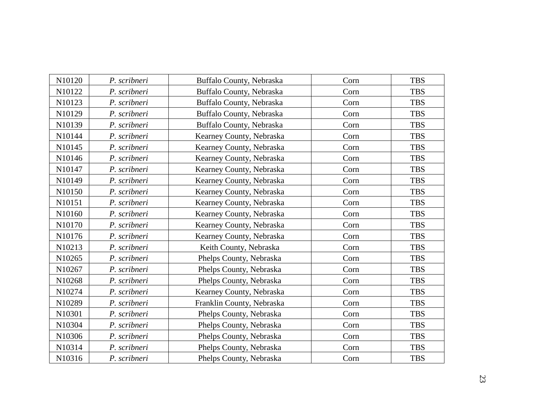| N10120 | P. scribneri | Buffalo County, Nebraska  | Corn | <b>TBS</b> |
|--------|--------------|---------------------------|------|------------|
| N10122 | P. scribneri | Buffalo County, Nebraska  | Corn | <b>TBS</b> |
| N10123 | P. scribneri | Buffalo County, Nebraska  | Corn | <b>TBS</b> |
| N10129 | P. scribneri | Buffalo County, Nebraska  | Corn | <b>TBS</b> |
| N10139 | P. scribneri | Buffalo County, Nebraska  | Corn | <b>TBS</b> |
| N10144 | P. scribneri | Kearney County, Nebraska  | Corn | <b>TBS</b> |
| N10145 | P. scribneri | Kearney County, Nebraska  | Corn | <b>TBS</b> |
| N10146 | P. scribneri | Kearney County, Nebraska  | Corn | <b>TBS</b> |
| N10147 | P. scribneri | Kearney County, Nebraska  | Corn | <b>TBS</b> |
| N10149 | P. scribneri | Kearney County, Nebraska  | Corn | <b>TBS</b> |
| N10150 | P. scribneri | Kearney County, Nebraska  | Corn | <b>TBS</b> |
| N10151 | P. scribneri | Kearney County, Nebraska  | Corn | <b>TBS</b> |
| N10160 | P. scribneri | Kearney County, Nebraska  | Corn | <b>TBS</b> |
| N10170 | P. scribneri | Kearney County, Nebraska  | Corn | <b>TBS</b> |
| N10176 | P. scribneri | Kearney County, Nebraska  | Corn | <b>TBS</b> |
| N10213 | P. scribneri | Keith County, Nebraska    | Corn | <b>TBS</b> |
| N10265 | P. scribneri | Phelps County, Nebraska   | Corn | <b>TBS</b> |
| N10267 | P. scribneri | Phelps County, Nebraska   | Corn | <b>TBS</b> |
| N10268 | P. scribneri | Phelps County, Nebraska   | Corn | <b>TBS</b> |
| N10274 | P. scribneri | Kearney County, Nebraska  | Corn | <b>TBS</b> |
| N10289 | P. scribneri | Franklin County, Nebraska | Corn | <b>TBS</b> |
| N10301 | P. scribneri | Phelps County, Nebraska   | Corn | <b>TBS</b> |
| N10304 | P. scribneri | Phelps County, Nebraska   | Corn | <b>TBS</b> |
| N10306 | P. scribneri | Phelps County, Nebraska   | Corn | <b>TBS</b> |
| N10314 | P. scribneri | Phelps County, Nebraska   | Corn | <b>TBS</b> |
| N10316 | P. scribneri | Phelps County, Nebraska   | Corn | <b>TBS</b> |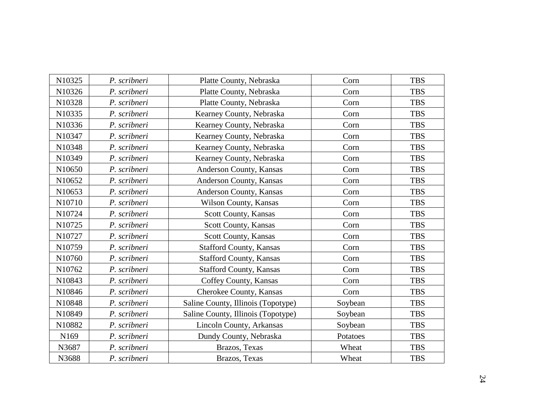| N10325 | P. scribneri | Platte County, Nebraska            | Corn     | <b>TBS</b> |
|--------|--------------|------------------------------------|----------|------------|
| N10326 | P. scribneri | Platte County, Nebraska            | Corn     | <b>TBS</b> |
| N10328 | P. scribneri | Platte County, Nebraska            | Corn     | <b>TBS</b> |
| N10335 | P. scribneri | Kearney County, Nebraska           | Corn     | <b>TBS</b> |
| N10336 | P. scribneri | Kearney County, Nebraska           | Corn     | <b>TBS</b> |
| N10347 | P. scribneri | Kearney County, Nebraska           | Corn     | <b>TBS</b> |
| N10348 | P. scribneri | Kearney County, Nebraska           | Corn     | <b>TBS</b> |
| N10349 | P. scribneri | Kearney County, Nebraska           | Corn     | <b>TBS</b> |
| N10650 | P. scribneri | Anderson County, Kansas            | Corn     | <b>TBS</b> |
| N10652 | P. scribneri | Anderson County, Kansas            | Corn     | <b>TBS</b> |
| N10653 | P. scribneri | Anderson County, Kansas            | Corn     | <b>TBS</b> |
| N10710 | P. scribneri | Wilson County, Kansas              | Corn     | <b>TBS</b> |
| N10724 | P. scribneri | Scott County, Kansas               | Corn     | <b>TBS</b> |
| N10725 | P. scribneri | Scott County, Kansas               | Corn     | <b>TBS</b> |
| N10727 | P. scribneri | Scott County, Kansas               | Corn     | <b>TBS</b> |
| N10759 | P. scribneri | <b>Stafford County, Kansas</b>     | Corn     | <b>TBS</b> |
| N10760 | P. scribneri | <b>Stafford County, Kansas</b>     | Corn     | <b>TBS</b> |
| N10762 | P. scribneri | <b>Stafford County, Kansas</b>     | Corn     | <b>TBS</b> |
| N10843 | P. scribneri | Coffey County, Kansas              | Corn     | <b>TBS</b> |
| N10846 | P. scribneri | Cherokee County, Kansas            | Corn     | <b>TBS</b> |
| N10848 | P. scribneri | Saline County, Illinois (Topotype) | Soybean  | <b>TBS</b> |
| N10849 | P. scribneri | Saline County, Illinois (Topotype) | Soybean  | <b>TBS</b> |
| N10882 | P. scribneri | Lincoln County, Arkansas           | Soybean  | <b>TBS</b> |
| N169   | P. scribneri | Dundy County, Nebraska             | Potatoes | <b>TBS</b> |
| N3687  | P. scribneri | Brazos, Texas                      | Wheat    | <b>TBS</b> |
| N3688  | P. scribneri | Brazos, Texas                      | Wheat    | <b>TBS</b> |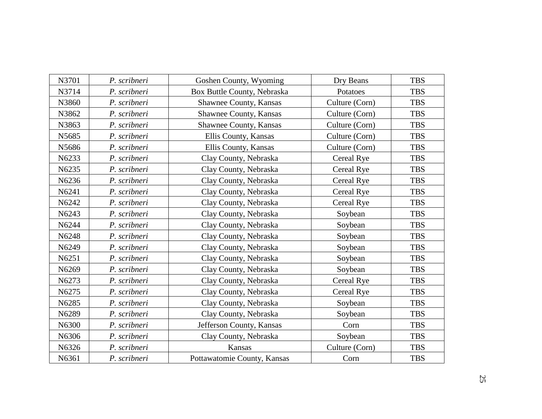| N3701 | P. scribneri | Goshen County, Wyoming      | Dry Beans      | <b>TBS</b> |
|-------|--------------|-----------------------------|----------------|------------|
| N3714 | P. scribneri | Box Buttle County, Nebraska | Potatoes       | <b>TBS</b> |
| N3860 | P. scribneri | Shawnee County, Kansas      | Culture (Corn) | <b>TBS</b> |
| N3862 | P. scribneri | Shawnee County, Kansas      | Culture (Corn) | <b>TBS</b> |
| N3863 | P. scribneri | Shawnee County, Kansas      | Culture (Corn) | <b>TBS</b> |
| N5685 | P. scribneri | Ellis County, Kansas        | Culture (Corn) | <b>TBS</b> |
| N5686 | P. scribneri | Ellis County, Kansas        | Culture (Corn) | <b>TBS</b> |
| N6233 | P. scribneri | Clay County, Nebraska       | Cereal Rye     | <b>TBS</b> |
| N6235 | P. scribneri | Clay County, Nebraska       | Cereal Rye     | <b>TBS</b> |
| N6236 | P. scribneri | Clay County, Nebraska       | Cereal Rye     | <b>TBS</b> |
| N6241 | P. scribneri | Clay County, Nebraska       | Cereal Rye     | <b>TBS</b> |
| N6242 | P. scribneri | Clay County, Nebraska       | Cereal Rye     | <b>TBS</b> |
| N6243 | P. scribneri | Clay County, Nebraska       | Soybean        | <b>TBS</b> |
| N6244 | P. scribneri | Clay County, Nebraska       | Soybean        | <b>TBS</b> |
| N6248 | P. scribneri | Clay County, Nebraska       | Soybean        | <b>TBS</b> |
| N6249 | P. scribneri | Clay County, Nebraska       | Soybean        | <b>TBS</b> |
| N6251 | P. scribneri | Clay County, Nebraska       | Soybean        | <b>TBS</b> |
| N6269 | P. scribneri | Clay County, Nebraska       | Soybean        | <b>TBS</b> |
| N6273 | P. scribneri | Clay County, Nebraska       | Cereal Rye     | <b>TBS</b> |
| N6275 | P. scribneri | Clay County, Nebraska       | Cereal Rye     | <b>TBS</b> |
| N6285 | P. scribneri | Clay County, Nebraska       | Soybean        | <b>TBS</b> |
| N6289 | P. scribneri | Clay County, Nebraska       | Soybean        | <b>TBS</b> |
| N6300 | P. scribneri | Jefferson County, Kansas    | Corn           | <b>TBS</b> |
| N6306 | P. scribneri | Clay County, Nebraska       | Soybean        | <b>TBS</b> |
| N6326 | P. scribneri | Kansas                      | Culture (Corn) | <b>TBS</b> |
| N6361 | P. scribneri | Pottawatomie County, Kansas | Corn           | <b>TBS</b> |
|       |              |                             |                |            |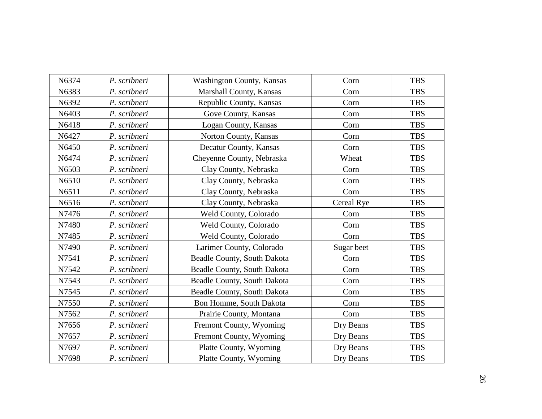| N6374 | P. scribneri | <b>Washington County, Kansas</b>   | Corn       | <b>TBS</b> |
|-------|--------------|------------------------------------|------------|------------|
| N6383 | P. scribneri | Marshall County, Kansas            | Corn       | <b>TBS</b> |
| N6392 | P. scribneri | Republic County, Kansas            | Corn       | <b>TBS</b> |
| N6403 | P. scribneri | Gove County, Kansas                | Corn       | <b>TBS</b> |
| N6418 | P. scribneri | Logan County, Kansas               | Corn       | <b>TBS</b> |
| N6427 | P. scribneri | Norton County, Kansas              | Corn       | <b>TBS</b> |
| N6450 | P. scribneri | Decatur County, Kansas             | Corn       | <b>TBS</b> |
| N6474 | P. scribneri | Cheyenne County, Nebraska          | Wheat      | <b>TBS</b> |
| N6503 | P. scribneri | Clay County, Nebraska              | Corn       | <b>TBS</b> |
| N6510 | P. scribneri | Clay County, Nebraska              | Corn       | <b>TBS</b> |
| N6511 | P. scribneri | Clay County, Nebraska              | Corn       | <b>TBS</b> |
| N6516 | P. scribneri | Clay County, Nebraska              | Cereal Rye | <b>TBS</b> |
| N7476 | P. scribneri | Weld County, Colorado              | Corn       | <b>TBS</b> |
| N7480 | P. scribneri | Weld County, Colorado              | Corn       | <b>TBS</b> |
| N7485 | P. scribneri | Weld County, Colorado              | Corn       | <b>TBS</b> |
| N7490 | P. scribneri | Larimer County, Colorado           | Sugar beet | <b>TBS</b> |
| N7541 | P. scribneri | <b>Beadle County, South Dakota</b> | Corn       | <b>TBS</b> |
| N7542 | P. scribneri | Beadle County, South Dakota        | Corn       | <b>TBS</b> |
| N7543 | P. scribneri | Beadle County, South Dakota        | Corn       | <b>TBS</b> |
| N7545 | P. scribneri | Beadle County, South Dakota        | Corn       | <b>TBS</b> |
| N7550 | P. scribneri | Bon Homme, South Dakota            | Corn       | <b>TBS</b> |
| N7562 | P. scribneri | Prairie County, Montana            | Corn       | <b>TBS</b> |
| N7656 | P. scribneri | Fremont County, Wyoming            | Dry Beans  | <b>TBS</b> |
| N7657 | P. scribneri | Fremont County, Wyoming            | Dry Beans  | <b>TBS</b> |
| N7697 | P. scribneri | Platte County, Wyoming             | Dry Beans  | <b>TBS</b> |
| N7698 | P. scribneri | Platte County, Wyoming             | Dry Beans  | <b>TBS</b> |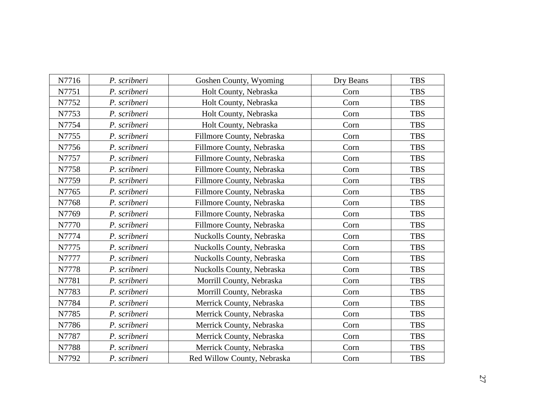| N7716 | P. scribneri | Goshen County, Wyoming      | Dry Beans | <b>TBS</b> |
|-------|--------------|-----------------------------|-----------|------------|
| N7751 | P. scribneri | Holt County, Nebraska       | Corn      | <b>TBS</b> |
| N7752 | P. scribneri | Holt County, Nebraska       | Corn      | <b>TBS</b> |
| N7753 | P. scribneri | Holt County, Nebraska       | Corn      | <b>TBS</b> |
| N7754 | P. scribneri | Holt County, Nebraska       | Corn      | <b>TBS</b> |
| N7755 | P. scribneri | Fillmore County, Nebraska   | Corn      | <b>TBS</b> |
| N7756 | P. scribneri | Fillmore County, Nebraska   | Corn      | <b>TBS</b> |
| N7757 | P. scribneri | Fillmore County, Nebraska   | Corn      | <b>TBS</b> |
| N7758 | P. scribneri | Fillmore County, Nebraska   | Corn      | <b>TBS</b> |
| N7759 | P. scribneri | Fillmore County, Nebraska   | Corn      | <b>TBS</b> |
| N7765 | P. scribneri | Fillmore County, Nebraska   | Corn      | <b>TBS</b> |
| N7768 | P. scribneri | Fillmore County, Nebraska   | Corn      | <b>TBS</b> |
| N7769 | P. scribneri | Fillmore County, Nebraska   | Corn      | <b>TBS</b> |
| N7770 | P. scribneri | Fillmore County, Nebraska   | Corn      | <b>TBS</b> |
| N7774 | P. scribneri | Nuckolls County, Nebraska   | Corn      | <b>TBS</b> |
| N7775 | P. scribneri | Nuckolls County, Nebraska   | Corn      | <b>TBS</b> |
| N7777 | P. scribneri | Nuckolls County, Nebraska   | Corn      | <b>TBS</b> |
| N7778 | P. scribneri | Nuckolls County, Nebraska   | Corn      | <b>TBS</b> |
| N7781 | P. scribneri | Morrill County, Nebraska    | Corn      | <b>TBS</b> |
| N7783 | P. scribneri | Morrill County, Nebraska    | Corn      | <b>TBS</b> |
| N7784 | P. scribneri | Merrick County, Nebraska    | Corn      | <b>TBS</b> |
| N7785 | P. scribneri | Merrick County, Nebraska    | Corn      | <b>TBS</b> |
| N7786 | P. scribneri | Merrick County, Nebraska    | Corn      | <b>TBS</b> |
| N7787 | P. scribneri | Merrick County, Nebraska    | Corn      | <b>TBS</b> |
| N7788 | P. scribneri | Merrick County, Nebraska    | Corn      | <b>TBS</b> |
| N7792 | P. scribneri | Red Willow County, Nebraska | Corn      | <b>TBS</b> |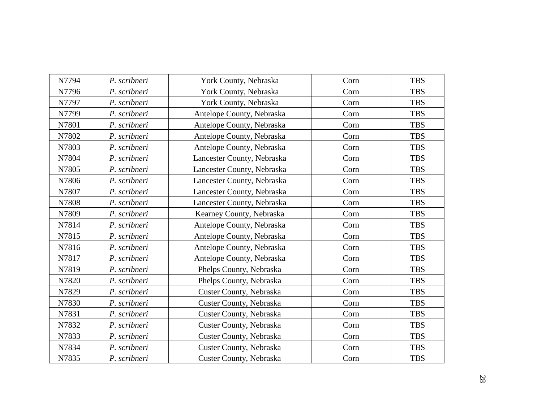| N7794 | P. scribneri | York County, Nebraska      | Corn | <b>TBS</b> |
|-------|--------------|----------------------------|------|------------|
| N7796 | P. scribneri | York County, Nebraska      | Corn | <b>TBS</b> |
| N7797 | P. scribneri | York County, Nebraska      | Corn | <b>TBS</b> |
| N7799 | P. scribneri | Antelope County, Nebraska  | Corn | <b>TBS</b> |
| N7801 | P. scribneri | Antelope County, Nebraska  | Corn | <b>TBS</b> |
| N7802 | P. scribneri | Antelope County, Nebraska  | Corn | <b>TBS</b> |
| N7803 | P. scribneri | Antelope County, Nebraska  | Corn | <b>TBS</b> |
| N7804 | P. scribneri | Lancester County, Nebraska | Corn | <b>TBS</b> |
| N7805 | P. scribneri | Lancester County, Nebraska | Corn | <b>TBS</b> |
| N7806 | P. scribneri | Lancester County, Nebraska | Corn | <b>TBS</b> |
| N7807 | P. scribneri | Lancester County, Nebraska | Corn | <b>TBS</b> |
| N7808 | P. scribneri | Lancester County, Nebraska | Corn | <b>TBS</b> |
| N7809 | P. scribneri | Kearney County, Nebraska   | Corn | <b>TBS</b> |
| N7814 | P. scribneri | Antelope County, Nebraska  | Corn | <b>TBS</b> |
| N7815 | P. scribneri | Antelope County, Nebraska  | Corn | <b>TBS</b> |
| N7816 | P. scribneri | Antelope County, Nebraska  | Corn | <b>TBS</b> |
| N7817 | P. scribneri | Antelope County, Nebraska  | Corn | <b>TBS</b> |
| N7819 | P. scribneri | Phelps County, Nebraska    | Corn | <b>TBS</b> |
| N7820 | P. scribneri | Phelps County, Nebraska    | Corn | <b>TBS</b> |
| N7829 | P. scribneri | Custer County, Nebraska    | Corn | <b>TBS</b> |
| N7830 | P. scribneri | Custer County, Nebraska    | Corn | <b>TBS</b> |
| N7831 | P. scribneri | Custer County, Nebraska    | Corn | <b>TBS</b> |
| N7832 | P. scribneri | Custer County, Nebraska    | Corn | <b>TBS</b> |
| N7833 | P. scribneri | Custer County, Nebraska    | Corn | <b>TBS</b> |
| N7834 | P. scribneri | Custer County, Nebraska    | Corn | <b>TBS</b> |
| N7835 | P. scribneri | Custer County, Nebraska    | Corn | <b>TBS</b> |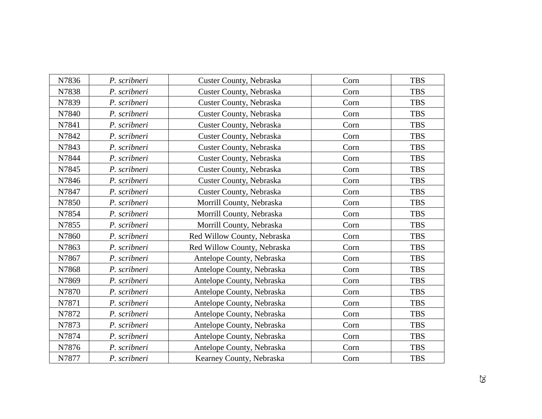| N7836 | P. scribneri | Custer County, Nebraska     | Corn | <b>TBS</b> |
|-------|--------------|-----------------------------|------|------------|
| N7838 | P. scribneri | Custer County, Nebraska     | Corn | <b>TBS</b> |
| N7839 | P. scribneri | Custer County, Nebraska     | Corn | <b>TBS</b> |
| N7840 | P. scribneri | Custer County, Nebraska     | Corn | <b>TBS</b> |
| N7841 | P. scribneri | Custer County, Nebraska     | Corn | <b>TBS</b> |
| N7842 | P. scribneri | Custer County, Nebraska     | Corn | <b>TBS</b> |
| N7843 | P. scribneri | Custer County, Nebraska     | Corn | <b>TBS</b> |
| N7844 | P. scribneri | Custer County, Nebraska     | Corn | <b>TBS</b> |
| N7845 | P. scribneri | Custer County, Nebraska     | Corn | <b>TBS</b> |
| N7846 | P. scribneri | Custer County, Nebraska     | Corn | <b>TBS</b> |
| N7847 | P. scribneri | Custer County, Nebraska     | Corn | <b>TBS</b> |
| N7850 | P. scribneri | Morrill County, Nebraska    | Corn | <b>TBS</b> |
| N7854 | P. scribneri | Morrill County, Nebraska    | Corn | <b>TBS</b> |
| N7855 | P. scribneri | Morrill County, Nebraska    | Corn | <b>TBS</b> |
| N7860 | P. scribneri | Red Willow County, Nebraska | Corn | <b>TBS</b> |
| N7863 | P. scribneri | Red Willow County, Nebraska | Corn | <b>TBS</b> |
| N7867 | P. scribneri | Antelope County, Nebraska   | Corn | <b>TBS</b> |
| N7868 | P. scribneri | Antelope County, Nebraska   | Corn | <b>TBS</b> |
| N7869 | P. scribneri | Antelope County, Nebraska   | Corn | <b>TBS</b> |
| N7870 | P. scribneri | Antelope County, Nebraska   | Corn | <b>TBS</b> |
| N7871 | P. scribneri | Antelope County, Nebraska   | Corn | <b>TBS</b> |
| N7872 | P. scribneri | Antelope County, Nebraska   | Corn | <b>TBS</b> |
| N7873 | P. scribneri | Antelope County, Nebraska   | Corn | <b>TBS</b> |
| N7874 | P. scribneri | Antelope County, Nebraska   | Corn | <b>TBS</b> |
| N7876 | P. scribneri | Antelope County, Nebraska   | Corn | <b>TBS</b> |
| N7877 | P. scribneri | Kearney County, Nebraska    | Corn | <b>TBS</b> |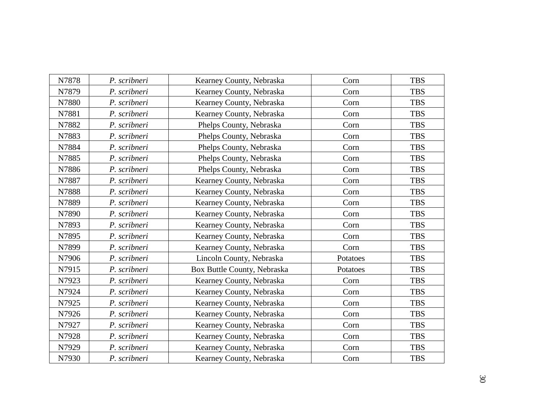| N7878 | P. scribneri | Kearney County, Nebraska    | Corn     | <b>TBS</b> |
|-------|--------------|-----------------------------|----------|------------|
| N7879 | P. scribneri | Kearney County, Nebraska    | Corn     | <b>TBS</b> |
| N7880 | P. scribneri | Kearney County, Nebraska    | Corn     | <b>TBS</b> |
| N7881 | P. scribneri | Kearney County, Nebraska    | Corn     | <b>TBS</b> |
| N7882 | P. scribneri | Phelps County, Nebraska     | Corn     | <b>TBS</b> |
| N7883 | P. scribneri | Phelps County, Nebraska     | Corn     | <b>TBS</b> |
| N7884 | P. scribneri | Phelps County, Nebraska     | Corn     | <b>TBS</b> |
| N7885 | P. scribneri | Phelps County, Nebraska     | Corn     | <b>TBS</b> |
| N7886 | P. scribneri | Phelps County, Nebraska     | Corn     | <b>TBS</b> |
| N7887 | P. scribneri | Kearney County, Nebraska    | Corn     | <b>TBS</b> |
| N7888 | P. scribneri | Kearney County, Nebraska    | Corn     | <b>TBS</b> |
| N7889 | P. scribneri | Kearney County, Nebraska    | Corn     | <b>TBS</b> |
| N7890 | P. scribneri | Kearney County, Nebraska    | Corn     | <b>TBS</b> |
| N7893 | P. scribneri | Kearney County, Nebraska    | Corn     | <b>TBS</b> |
| N7895 | P. scribneri | Kearney County, Nebraska    | Corn     | <b>TBS</b> |
| N7899 | P. scribneri | Kearney County, Nebraska    | Corn     | <b>TBS</b> |
| N7906 | P. scribneri | Lincoln County, Nebraska    | Potatoes | <b>TBS</b> |
| N7915 | P. scribneri | Box Buttle County, Nebraska | Potatoes | <b>TBS</b> |
| N7923 | P. scribneri | Kearney County, Nebraska    | Corn     | <b>TBS</b> |
| N7924 | P. scribneri | Kearney County, Nebraska    | Corn     | <b>TBS</b> |
| N7925 | P. scribneri | Kearney County, Nebraska    | Corn     | <b>TBS</b> |
| N7926 | P. scribneri | Kearney County, Nebraska    | Corn     | <b>TBS</b> |
| N7927 | P. scribneri | Kearney County, Nebraska    | Corn     | <b>TBS</b> |
| N7928 | P. scribneri | Kearney County, Nebraska    | Corn     | <b>TBS</b> |
| N7929 | P. scribneri | Kearney County, Nebraska    | Corn     | <b>TBS</b> |
| N7930 | P. scribneri | Kearney County, Nebraska    | Corn     | <b>TBS</b> |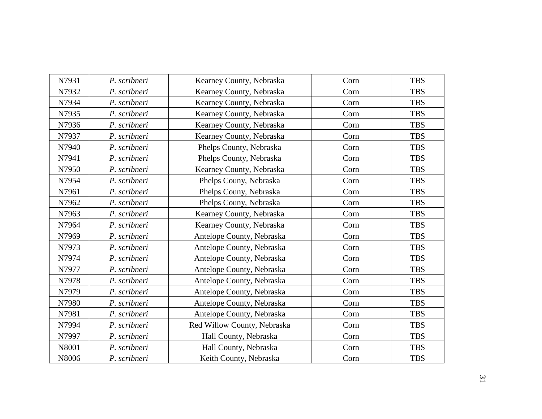| N7931 | P. scribneri | Kearney County, Nebraska    | Corn | <b>TBS</b> |
|-------|--------------|-----------------------------|------|------------|
| N7932 | P. scribneri | Kearney County, Nebraska    | Corn | <b>TBS</b> |
| N7934 | P. scribneri | Kearney County, Nebraska    | Corn | <b>TBS</b> |
| N7935 | P. scribneri | Kearney County, Nebraska    | Corn | <b>TBS</b> |
| N7936 | P. scribneri | Kearney County, Nebraska    | Corn | <b>TBS</b> |
| N7937 | P. scribneri | Kearney County, Nebraska    | Corn | <b>TBS</b> |
| N7940 | P. scribneri | Phelps County, Nebraska     | Corn | <b>TBS</b> |
| N7941 | P. scribneri | Phelps County, Nebraska     | Corn | <b>TBS</b> |
| N7950 | P. scribneri | Kearney County, Nebraska    | Corn | <b>TBS</b> |
| N7954 | P. scribneri | Phelps Couny, Nebraska      | Corn | <b>TBS</b> |
| N7961 | P. scribneri | Phelps Couny, Nebraska      | Corn | <b>TBS</b> |
| N7962 | P. scribneri | Phelps Couny, Nebraska      | Corn | <b>TBS</b> |
| N7963 | P. scribneri | Kearney County, Nebraska    | Corn | <b>TBS</b> |
| N7964 | P. scribneri | Kearney County, Nebraska    | Corn | <b>TBS</b> |
| N7969 | P. scribneri | Antelope County, Nebraska   | Corn | <b>TBS</b> |
| N7973 | P. scribneri | Antelope County, Nebraska   | Corn | <b>TBS</b> |
| N7974 | P. scribneri | Antelope County, Nebraska   | Corn | <b>TBS</b> |
| N7977 | P. scribneri | Antelope County, Nebraska   | Corn | <b>TBS</b> |
| N7978 | P. scribneri | Antelope County, Nebraska   | Corn | <b>TBS</b> |
| N7979 | P. scribneri | Antelope County, Nebraska   | Corn | <b>TBS</b> |
| N7980 | P. scribneri | Antelope County, Nebraska   | Corn | <b>TBS</b> |
| N7981 | P. scribneri | Antelope County, Nebraska   | Corn | <b>TBS</b> |
| N7994 | P. scribneri | Red Willow County, Nebraska | Corn | <b>TBS</b> |
| N7997 | P. scribneri | Hall County, Nebraska       | Corn | <b>TBS</b> |
| N8001 | P. scribneri | Hall County, Nebraska       | Corn | <b>TBS</b> |
| N8006 | P. scribneri | Keith County, Nebraska      | Corn | <b>TBS</b> |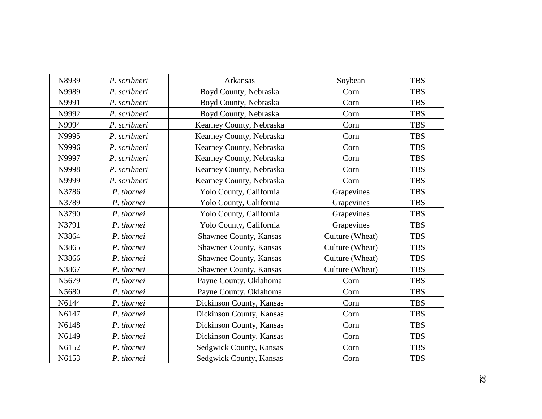| N8939 | P. scribneri | Arkansas                 | Soybean         | <b>TBS</b> |
|-------|--------------|--------------------------|-----------------|------------|
| N9989 | P. scribneri | Boyd County, Nebraska    | Corn            | <b>TBS</b> |
| N9991 | P. scribneri | Boyd County, Nebraska    | Corn            | <b>TBS</b> |
| N9992 | P. scribneri | Boyd County, Nebraska    | Corn            | <b>TBS</b> |
| N9994 | P. scribneri | Kearney County, Nebraska | Corn            | <b>TBS</b> |
| N9995 | P. scribneri | Kearney County, Nebraska | Corn            | <b>TBS</b> |
| N9996 | P. scribneri | Kearney County, Nebraska | Corn            | <b>TBS</b> |
| N9997 | P. scribneri | Kearney County, Nebraska | Corn            | <b>TBS</b> |
| N9998 | P. scribneri | Kearney County, Nebraska | Corn            | <b>TBS</b> |
| N9999 | P. scribneri | Kearney County, Nebraska | Corn            | <b>TBS</b> |
| N3786 | P. thornei   | Yolo County, California  | Grapevines      | <b>TBS</b> |
| N3789 | P. thornei   | Yolo County, California  | Grapevines      | <b>TBS</b> |
| N3790 | P. thornei   | Yolo County, California  | Grapevines      | <b>TBS</b> |
| N3791 | P. thornei   | Yolo County, California  | Grapevines      | <b>TBS</b> |
| N3864 | P. thornei   | Shawnee County, Kansas   | Culture (Wheat) | <b>TBS</b> |
| N3865 | P. thornei   | Shawnee County, Kansas   | Culture (Wheat) | <b>TBS</b> |
| N3866 | P. thornei   | Shawnee County, Kansas   | Culture (Wheat) | <b>TBS</b> |
| N3867 | P. thornei   | Shawnee County, Kansas   | Culture (Wheat) | <b>TBS</b> |
| N5679 | P. thornei   | Payne County, Oklahoma   | Corn            | <b>TBS</b> |
| N5680 | P. thornei   | Payne County, Oklahoma   | Corn            | <b>TBS</b> |
| N6144 | P. thornei   | Dickinson County, Kansas | Corn            | <b>TBS</b> |
| N6147 | P. thornei   | Dickinson County, Kansas | Corn            | <b>TBS</b> |
| N6148 | P. thornei   | Dickinson County, Kansas | Corn            | <b>TBS</b> |
| N6149 | P. thornei   | Dickinson County, Kansas | Corn            | <b>TBS</b> |
| N6152 | P. thornei   | Sedgwick County, Kansas  | Corn            | <b>TBS</b> |
| N6153 | P. thornei   | Sedgwick County, Kansas  | Corn            | <b>TBS</b> |
|       |              |                          |                 |            |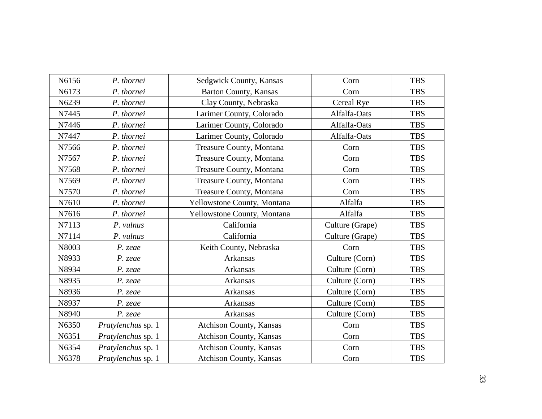| N6156<br>P. thornei<br>Sedgwick County, Kansas<br>Corn          | <b>TBS</b> |
|-----------------------------------------------------------------|------------|
|                                                                 |            |
| N6173<br>P. thornei<br>Barton County, Kansas<br>Corn            | <b>TBS</b> |
| N6239<br>P. thornei<br>Clay County, Nebraska<br>Cereal Rye      | <b>TBS</b> |
| N7445<br>P. thornei<br>Larimer County, Colorado<br>Alfalfa-Oats | <b>TBS</b> |
| N7446<br>Larimer County, Colorado<br>Alfalfa-Oats<br>P. thornei | <b>TBS</b> |
| Alfalfa-Oats<br>N7447<br>P. thornei<br>Larimer County, Colorado | <b>TBS</b> |
| N7566<br>P. thornei<br>Treasure County, Montana<br>Corn         | <b>TBS</b> |
| N7567<br>P. thornei<br>Treasure County, Montana<br>Corn         | <b>TBS</b> |
| N7568<br>P. thornei<br>Treasure County, Montana<br>Corn         | <b>TBS</b> |
| Treasure County, Montana<br>N7569<br>P. thornei<br>Corn         | <b>TBS</b> |
| N7570<br>Treasure County, Montana<br>P. thornei<br>Corn         | <b>TBS</b> |
| Yellowstone County, Montana<br>N7610<br>P. thornei<br>Alfalfa   | <b>TBS</b> |
| N7616<br>P. thornei<br>Yellowstone County, Montana<br>Alfalfa   | <b>TBS</b> |
| N7113<br>California<br>Culture (Grape)<br>P. vulnus             | <b>TBS</b> |
| California<br>N7114<br>P. vulnus<br>Culture (Grape)             | <b>TBS</b> |
| N8003<br>Keith County, Nebraska<br>Corn<br>P. zeae              | <b>TBS</b> |
| N8933<br>Culture (Corn)<br>$P.$ zeae<br>Arkansas                | <b>TBS</b> |
| N8934<br>Culture (Corn)<br>Arkansas<br>P. zeae                  | <b>TBS</b> |
| Culture (Corn)<br>N8935<br>Arkansas<br>P. zeae                  | <b>TBS</b> |
| N8936<br>Arkansas<br>Culture (Corn)<br>P. zeae                  | <b>TBS</b> |
| Culture (Corn)<br>N8937<br>Arkansas<br>P. zeae                  | <b>TBS</b> |
| N8940<br>Arkansas<br>Culture (Corn)<br>P. zeae                  | <b>TBS</b> |
| N6350<br>Pratylenchus sp. 1<br>Atchison County, Kansas<br>Corn  | <b>TBS</b> |
| Atchison County, Kansas<br>N6351<br>Pratylenchus sp. 1<br>Corn  | <b>TBS</b> |
| Atchison County, Kansas<br>N6354<br>Pratylenchus sp. 1<br>Corn  | <b>TBS</b> |
| Atchison County, Kansas<br>N6378<br>Pratylenchus sp. 1<br>Corn  | <b>TBS</b> |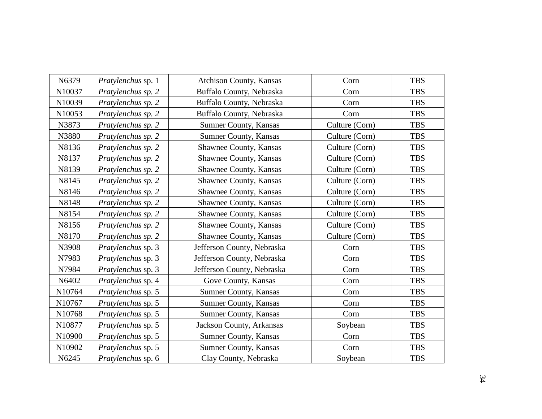| N6379  | Pratylenchus sp. 1 | <b>Atchison County, Kansas</b> | Corn           | <b>TBS</b> |
|--------|--------------------|--------------------------------|----------------|------------|
| N10037 | Pratylenchus sp. 2 | Buffalo County, Nebraska       | Corn           | <b>TBS</b> |
| N10039 | Pratylenchus sp. 2 | Buffalo County, Nebraska       | Corn           | <b>TBS</b> |
| N10053 | Pratylenchus sp. 2 | Buffalo County, Nebraska       | Corn           | <b>TBS</b> |
| N3873  | Pratylenchus sp. 2 | Sumner County, Kansas          | Culture (Corn) | <b>TBS</b> |
| N3880  | Pratylenchus sp. 2 | Sumner County, Kansas          | Culture (Corn) | <b>TBS</b> |
| N8136  | Pratylenchus sp. 2 | Shawnee County, Kansas         | Culture (Corn) | <b>TBS</b> |
| N8137  | Pratylenchus sp. 2 | Shawnee County, Kansas         | Culture (Corn) | <b>TBS</b> |
| N8139  | Pratylenchus sp. 2 | Shawnee County, Kansas         | Culture (Corn) | <b>TBS</b> |
| N8145  | Pratylenchus sp. 2 | Shawnee County, Kansas         | Culture (Corn) | <b>TBS</b> |
| N8146  | Pratylenchus sp. 2 | Shawnee County, Kansas         | Culture (Corn) | <b>TBS</b> |
| N8148  | Pratylenchus sp. 2 | Shawnee County, Kansas         | Culture (Corn) | <b>TBS</b> |
| N8154  | Pratylenchus sp. 2 | Shawnee County, Kansas         | Culture (Corn) | <b>TBS</b> |
| N8156  | Pratylenchus sp. 2 | Shawnee County, Kansas         | Culture (Corn) | <b>TBS</b> |
| N8170  | Pratylenchus sp. 2 | Shawnee County, Kansas         | Culture (Corn) | <b>TBS</b> |
| N3908  | Pratylenchus sp. 3 | Jefferson County, Nebraska     | Corn           | <b>TBS</b> |
| N7983  | Pratylenchus sp. 3 | Jefferson County, Nebraska     | Corn           | <b>TBS</b> |
| N7984  | Pratylenchus sp. 3 | Jefferson County, Nebraska     | Corn           | <b>TBS</b> |
| N6402  | Pratylenchus sp. 4 | Gove County, Kansas            | Corn           | <b>TBS</b> |
| N10764 | Pratylenchus sp. 5 | Sumner County, Kansas          | Corn           | <b>TBS</b> |
| N10767 | Pratylenchus sp. 5 | Sumner County, Kansas          | Corn           | <b>TBS</b> |
| N10768 | Pratylenchus sp. 5 | Sumner County, Kansas          | Corn           | <b>TBS</b> |
| N10877 | Pratylenchus sp. 5 | Jackson County, Arkansas       | Soybean        | <b>TBS</b> |
| N10900 | Pratylenchus sp. 5 | Sumner County, Kansas          | Corn           | <b>TBS</b> |
| N10902 | Pratylenchus sp. 5 | Sumner County, Kansas          | Corn           | <b>TBS</b> |
| N6245  | Pratylenchus sp. 6 | Clay County, Nebraska          | Soybean        | <b>TBS</b> |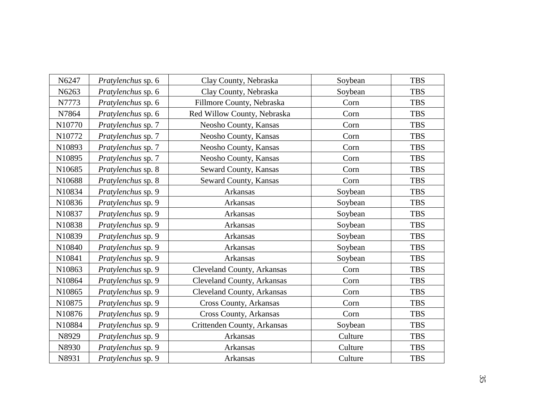| N6247  | Pratylenchus sp. 6 | Clay County, Nebraska             | Soybean | <b>TBS</b> |
|--------|--------------------|-----------------------------------|---------|------------|
| N6263  | Pratylenchus sp. 6 | Clay County, Nebraska             | Soybean | <b>TBS</b> |
| N7773  | Pratylenchus sp. 6 | Fillmore County, Nebraska         | Corn    | <b>TBS</b> |
| N7864  | Pratylenchus sp. 6 | Red Willow County, Nebraska       | Corn    | <b>TBS</b> |
| N10770 | Pratylenchus sp. 7 | Neosho County, Kansas             | Corn    | <b>TBS</b> |
| N10772 | Pratylenchus sp. 7 | Neosho County, Kansas             | Corn    | <b>TBS</b> |
| N10893 | Pratylenchus sp. 7 | Neosho County, Kansas             | Corn    | <b>TBS</b> |
| N10895 | Pratylenchus sp. 7 | Neosho County, Kansas             | Corn    | <b>TBS</b> |
| N10685 | Pratylenchus sp. 8 | Seward County, Kansas             | Corn    | <b>TBS</b> |
| N10688 | Pratylenchus sp. 8 | Seward County, Kansas             | Corn    | <b>TBS</b> |
| N10834 | Pratylenchus sp. 9 | Arkansas                          | Soybean | <b>TBS</b> |
| N10836 | Pratylenchus sp. 9 | Arkansas                          | Soybean | <b>TBS</b> |
| N10837 | Pratylenchus sp. 9 | Arkansas                          | Soybean | <b>TBS</b> |
| N10838 | Pratylenchus sp. 9 | Arkansas                          | Soybean | <b>TBS</b> |
| N10839 | Pratylenchus sp. 9 | Arkansas                          | Soybean | <b>TBS</b> |
| N10840 | Pratylenchus sp. 9 | Arkansas                          | Soybean | <b>TBS</b> |
| N10841 | Pratylenchus sp. 9 | Arkansas                          | Soybean | <b>TBS</b> |
| N10863 | Pratylenchus sp. 9 | Cleveland County, Arkansas        | Corn    | <b>TBS</b> |
| N10864 | Pratylenchus sp. 9 | Cleveland County, Arkansas        | Corn    | <b>TBS</b> |
| N10865 | Pratylenchus sp. 9 | <b>Cleveland County, Arkansas</b> | Corn    | <b>TBS</b> |
| N10875 | Pratylenchus sp. 9 | Cross County, Arkansas            | Corn    | <b>TBS</b> |
| N10876 | Pratylenchus sp. 9 | Cross County, Arkansas            | Corn    | <b>TBS</b> |
| N10884 | Pratylenchus sp. 9 | Crittenden County, Arkansas       | Soybean | <b>TBS</b> |
| N8929  | Pratylenchus sp. 9 | Arkansas                          | Culture | <b>TBS</b> |
| N8930  | Pratylenchus sp. 9 | Arkansas                          | Culture | <b>TBS</b> |
| N8931  | Pratylenchus sp. 9 | Arkansas                          | Culture | <b>TBS</b> |